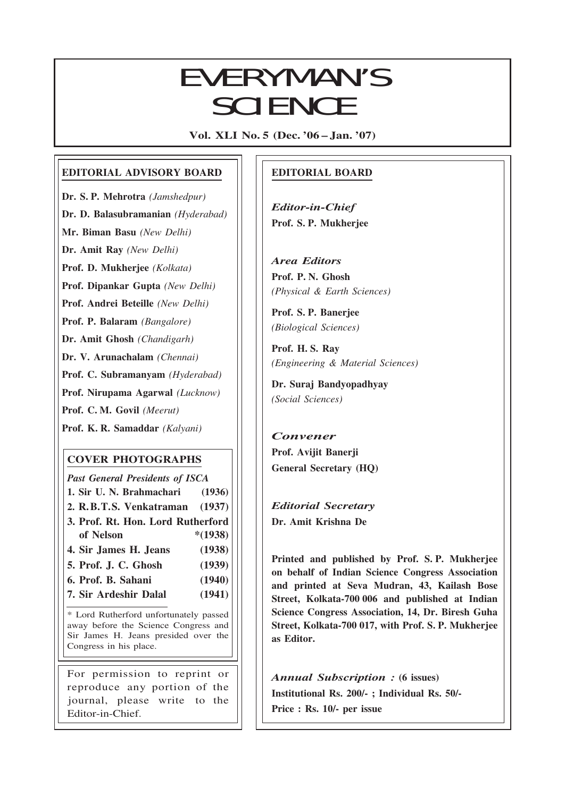# EVERYMAN'S **SCIENCE**

Vol. XLI No. 5 (Dec. '06 – Jan. '07)

## EDITORIAL ADVISORY BOARD

Dr. S. P. Mehrotra (Jamshedpur)

Dr. D. Balasubramanian (Hyderabad)

Mr. Biman Basu (New Delhi)

Dr. Amit Ray (New Delhi)

Prof. D. Mukherjee (Kolkata)

Prof. Dipankar Gupta (New Delhi)

Prof. Andrei Beteille (New Delhi)

Prof. P. Balaram (Bangalore)

Dr. Amit Ghosh (Chandigarh)

Dr. V. Arunachalam (Chennai)

Prof. C. Subramanyam (Hyderabad)

Prof. Nirupama Agarwal (Lucknow)

Prof. C. M. Govil (Meerut)

Prof. K. R. Samaddar (Kalyani)

## COVER PHOTOGRAPHS

Past General Presidents of ISCA 1. Sir U. N. Brahmachari (1936) 2. R.B.T.S. Venkatraman (1937) 3. Prof. Rt. Hon. Lord Rutherford of Nelson \*(1938) 4. Sir James H. Jeans (1938) 5. Prof. J. C. Ghosh (1939)

- 6. Prof. B. Sahani (1940)
- 7. Sir Ardeshir Dalal (1941)

\* Lord Rutherford unfortunately passed away before the Science Congress and Sir James H. Jeans presided over the Congress in his place.

For permission to reprint or reproduce any portion of the journal, please write to the Editor-in-Chief.

## EDITORIAL BOARD

Editor-in-Chief Prof. S. P. Mukherjee

Area Editors Prof. P. N. Ghosh (Physical & Earth Sciences)

Prof. S. P. Banerjee (Biological Sciences)

Prof. H. S. Ray (Engineering & Material Sciences)

Dr. Suraj Bandyopadhyay (Social Sciences)

## Convener Prof. Avijit Banerji General Secretary (HQ)

Editorial Secretary Dr. Amit Krishna De

293

Printed and published by Prof. S. P. Mukherjee on behalf of Indian Science Congress Association and printed at Seva Mudran, 43, Kailash Bose Street, Kolkata-700 006 and published at Indian Science Congress Association, 14, Dr. Biresh Guha Street, Kolkata-700 017, with Prof. S. P. Mukherjee as Editor.

Annual Subscription : (6 issues) Institutional Rs. 200/- ; Individual Rs. 50/- Price : Rs. 10/- per issue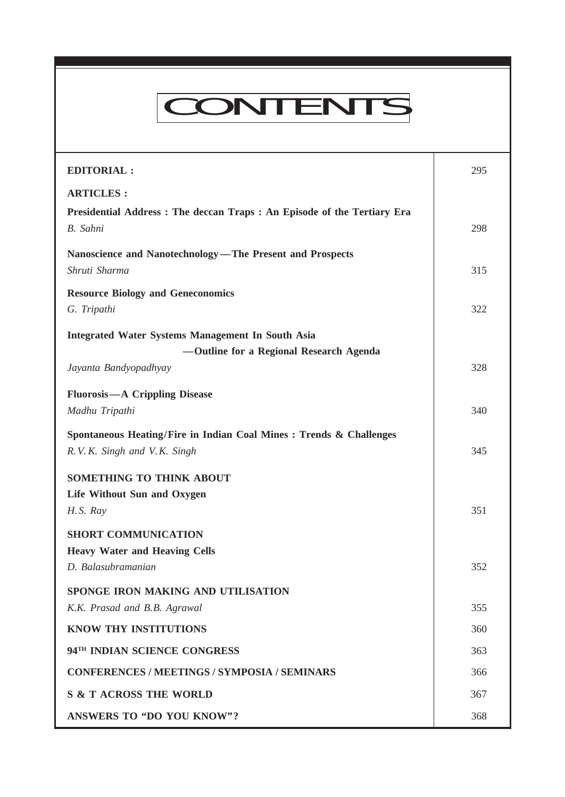# CONTENTS

Everyman's Science VOL. XLI NO. 5, Dec. '06 —Jan. '07

| <b>EDITORIAL:</b>                                                                                  | 295 |
|----------------------------------------------------------------------------------------------------|-----|
| <b>ARTICLES:</b>                                                                                   |     |
| Presidential Address: The deccan Traps: An Episode of the Tertiary Era<br>B. Sahni                 | 298 |
| Nanoscience and Nanotechnology-The Present and Prospects<br>Shruti Sharma                          | 315 |
| <b>Resource Biology and Geneconomics</b>                                                           |     |
| G. Tripathi                                                                                        | 322 |
| <b>Integrated Water Systems Management In South Asia</b>                                           |     |
| -Outline for a Regional Research Agenda                                                            |     |
| Jayanta Bandyopadhyay                                                                              | 328 |
| <b>Fluorosis</b> - A Crippling Disease                                                             |     |
| Madhu Tripathi                                                                                     | 340 |
| Spontaneous Heating/Fire in Indian Coal Mines : Trends & Challenges<br>R.V.K. Singh and V.K. Singh | 345 |
| SOMETHING TO THINK ABOUT                                                                           |     |
| Life Without Sun and Oxygen                                                                        |     |
| H.S. Ray                                                                                           | 351 |
| <b>SHORT COMMUNICATION</b>                                                                         |     |
| <b>Heavy Water and Heaving Cells</b>                                                               |     |
| D. Balasubramanian                                                                                 | 352 |
| <b>SPONGE IRON MAKING AND UTILISATION</b>                                                          |     |
| K.K. Prasad and B.B. Agrawal                                                                       | 355 |
| <b>KNOW THY INSTITUTIONS</b>                                                                       | 360 |
| 94TH INDIAN SCIENCE CONGRESS                                                                       | 363 |
| <b>CONFERENCES / MEETINGS / SYMPOSIA / SEMINARS</b>                                                | 366 |
| <b>S &amp; T ACROSS THE WORLD</b>                                                                  | 367 |
| <b>ANSWERS TO "DO YOU KNOW"?</b>                                                                   | 368 |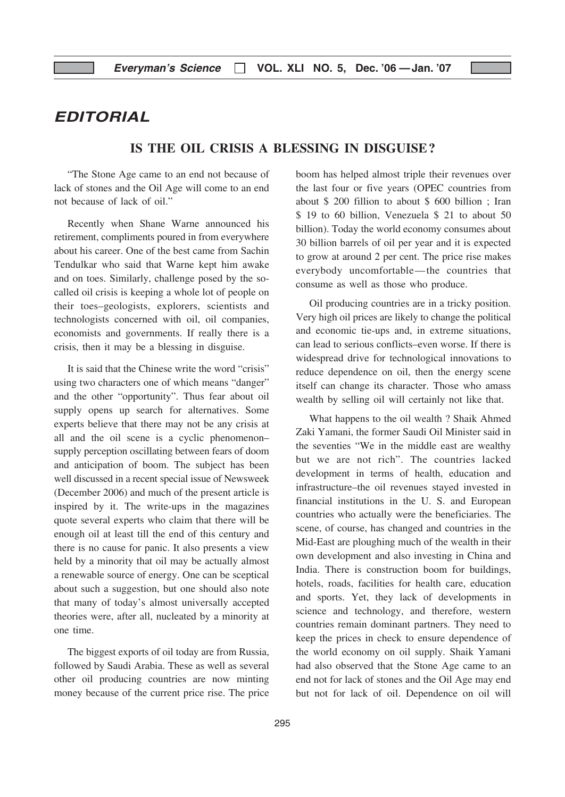## EDITORIAL

## IS THE OIL CRISIS A BLESSING IN DISGUISE?

"The Stone Age came to an end not because of lack of stones and the Oil Age will come to an end not because of lack of oil."

Recently when Shane Warne announced his retirement, compliments poured in from everywhere about his career. One of the best came from Sachin Tendulkar who said that Warne kept him awake and on toes. Similarly, challenge posed by the socalled oil crisis is keeping a whole lot of people on their toes–geologists, explorers, scientists and technologists concerned with oil, oil companies, economists and governments. If really there is a crisis, then it may be a blessing in disguise.

It is said that the Chinese write the word "crisis" using two characters one of which means "danger" and the other "opportunity". Thus fear about oil supply opens up search for alternatives. Some experts believe that there may not be any crisis at all and the oil scene is a cyclic phenomenon– supply perception oscillating between fears of doom and anticipation of boom. The subject has been well discussed in a recent special issue of Newsweek (December 2006) and much of the present article is inspired by it. The write-ups in the magazines quote several experts who claim that there will be enough oil at least till the end of this century and there is no cause for panic. It also presents a view held by a minority that oil may be actually almost a renewable source of energy. One can be sceptical about such a suggestion, but one should also note that many of today's almost universally accepted theories were, after all, nucleated by a minority at one time.

The biggest exports of oil today are from Russia, followed by Saudi Arabia. These as well as several other oil producing countries are now minting money because of the current price rise. The price boom has helped almost triple their revenues over the last four or five years (OPEC countries from about \$ 200 fillion to about \$ 600 billion ; Iran \$ 19 to 60 billion, Venezuela \$ 21 to about 50 billion). Today the world economy consumes about 30 billion barrels of oil per year and it is expected to grow at around 2 per cent. The price rise makes everybody uncomfortable—the countries that consume as well as those who produce.

Oil producing countries are in a tricky position. Very high oil prices are likely to change the political and economic tie-ups and, in extreme situations, can lead to serious conflicts–even worse. If there is widespread drive for technological innovations to reduce dependence on oil, then the energy scene itself can change its character. Those who amass wealth by selling oil will certainly not like that.

What happens to the oil wealth ? Shaik Ahmed Zaki Yamani, the former Saudi Oil Minister said in the seventies "We in the middle east are wealthy but we are not rich". The countries lacked development in terms of health, education and infrastructure–the oil revenues stayed invested in financial institutions in the U. S. and European countries who actually were the beneficiaries. The scene, of course, has changed and countries in the Mid-East are ploughing much of the wealth in their own development and also investing in China and India. There is construction boom for buildings, hotels, roads, facilities for health care, education and sports. Yet, they lack of developments in science and technology, and therefore, western countries remain dominant partners. They need to keep the prices in check to ensure dependence of the world economy on oil supply. Shaik Yamani had also observed that the Stone Age came to an end not for lack of stones and the Oil Age may end but not for lack of oil. Dependence on oil will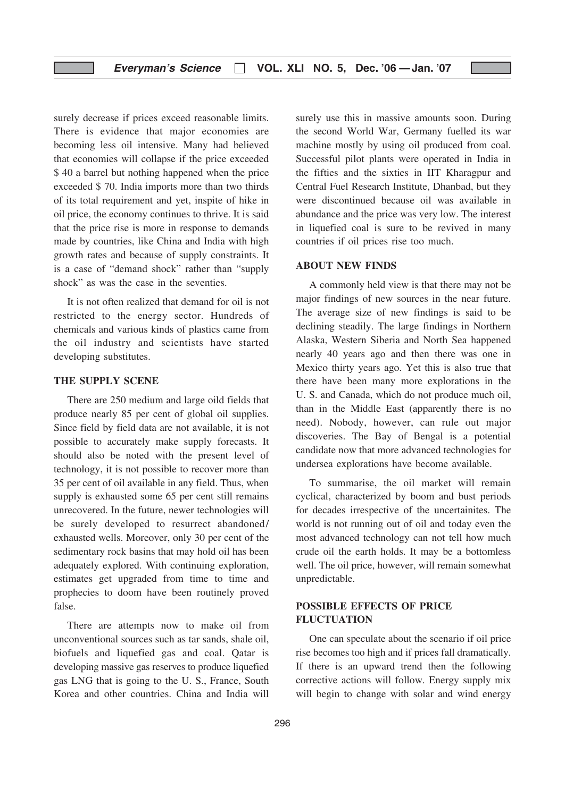surely decrease if prices exceed reasonable limits. There is evidence that major economies are becoming less oil intensive. Many had believed that economies will collapse if the price exceeded \$40 a barrel but nothing happened when the price exceeded \$ 70. India imports more than two thirds of its total requirement and yet, inspite of hike in oil price, the economy continues to thrive. It is said that the price rise is more in response to demands made by countries, like China and India with high growth rates and because of supply constraints. It is a case of "demand shock" rather than "supply shock" as was the case in the seventies.

It is not often realized that demand for oil is not restricted to the energy sector. Hundreds of chemicals and various kinds of plastics came from the oil industry and scientists have started developing substitutes.

#### THE SUPPLY SCENE

There are 250 medium and large oild fields that produce nearly 85 per cent of global oil supplies. Since field by field data are not available, it is not possible to accurately make supply forecasts. It should also be noted with the present level of technology, it is not possible to recover more than 35 per cent of oil available in any field. Thus, when supply is exhausted some 65 per cent still remains unrecovered. In the future, newer technologies will be surely developed to resurrect abandoned/ exhausted wells. Moreover, only 30 per cent of the sedimentary rock basins that may hold oil has been adequately explored. With continuing exploration, estimates get upgraded from time to time and prophecies to doom have been routinely proved false.

There are attempts now to make oil from unconventional sources such as tar sands, shale oil, biofuels and liquefied gas and coal. Qatar is developing massive gas reserves to produce liquefied gas LNG that is going to the U. S., France, South Korea and other countries. China and India will surely use this in massive amounts soon. During the second World War, Germany fuelled its war machine mostly by using oil produced from coal. Successful pilot plants were operated in India in the fifties and the sixties in IIT Kharagpur and Central Fuel Research Institute, Dhanbad, but they were discontinued because oil was available in abundance and the price was very low. The interest in liquefied coal is sure to be revived in many countries if oil prices rise too much.

#### ABOUT NEW FINDS

A commonly held view is that there may not be major findings of new sources in the near future. The average size of new findings is said to be declining steadily. The large findings in Northern Alaska, Western Siberia and North Sea happened nearly 40 years ago and then there was one in Mexico thirty years ago. Yet this is also true that there have been many more explorations in the U. S. and Canada, which do not produce much oil, than in the Middle East (apparently there is no need). Nobody, however, can rule out major discoveries. The Bay of Bengal is a potential candidate now that more advanced technologies for undersea explorations have become available.

To summarise, the oil market will remain cyclical, characterized by boom and bust periods for decades irrespective of the uncertainites. The world is not running out of oil and today even the most advanced technology can not tell how much crude oil the earth holds. It may be a bottomless well. The oil price, however, will remain somewhat unpredictable.

## POSSIBLE EFFECTS OF PRICE FLUCTUATION

One can speculate about the scenario if oil price rise becomes too high and if prices fall dramatically. If there is an upward trend then the following corrective actions will follow. Energy supply mix will begin to change with solar and wind energy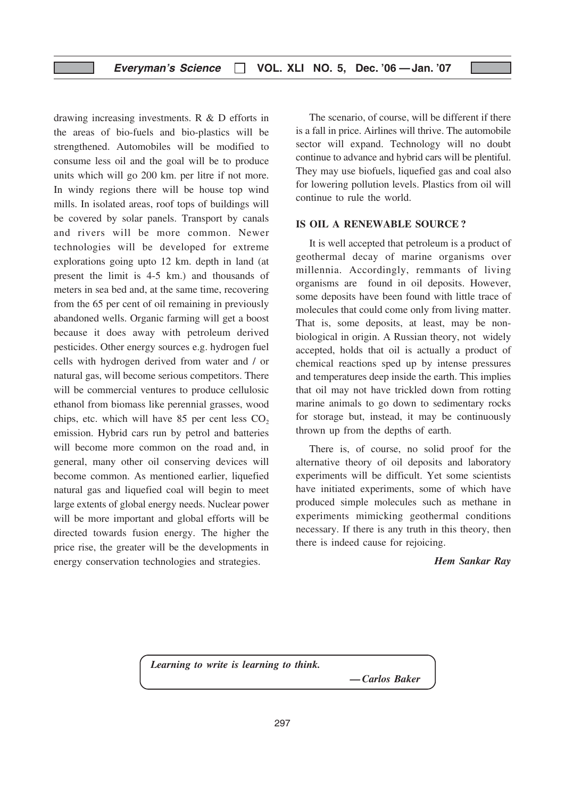drawing increasing investments. R & D efforts in the areas of bio-fuels and bio-plastics will be strengthened. Automobiles will be modified to consume less oil and the goal will be to produce units which will go 200 km. per litre if not more. In windy regions there will be house top wind mills. In isolated areas, roof tops of buildings will be covered by solar panels. Transport by canals and rivers will be more common. Newer technologies will be developed for extreme explorations going upto 12 km. depth in land (at present the limit is 4-5 km.) and thousands of meters in sea bed and, at the same time, recovering from the 65 per cent of oil remaining in previously abandoned wells. Organic farming will get a boost because it does away with petroleum derived pesticides. Other energy sources e.g. hydrogen fuel cells with hydrogen derived from water and / or natural gas, will become serious competitors. There will be commercial ventures to produce cellulosic ethanol from biomass like perennial grasses, wood chips, etc. which will have  $85$  per cent less  $CO<sub>2</sub>$ emission. Hybrid cars run by petrol and batteries will become more common on the road and, in general, many other oil conserving devices will become common. As mentioned earlier, liquefied natural gas and liquefied coal will begin to meet large extents of global energy needs. Nuclear power will be more important and global efforts will be directed towards fusion energy. The higher the price rise, the greater will be the developments in energy conservation technologies and strategies.

The scenario, of course, will be different if there is a fall in price. Airlines will thrive. The automobile sector will expand. Technology will no doubt continue to advance and hybrid cars will be plentiful. They may use biofuels, liquefied gas and coal also for lowering pollution levels. Plastics from oil will continue to rule the world.

## IS OIL A RENEWABLE SOURCE ?

It is well accepted that petroleum is a product of geothermal decay of marine organisms over millennia. Accordingly, remmants of living organisms are found in oil deposits. However, some deposits have been found with little trace of molecules that could come only from living matter. That is, some deposits, at least, may be nonbiological in origin. A Russian theory, not widely accepted, holds that oil is actually a product of chemical reactions sped up by intense pressures and temperatures deep inside the earth. This implies that oil may not have trickled down from rotting marine animals to go down to sedimentary rocks for storage but, instead, it may be continuously thrown up from the depths of earth.

There is, of course, no solid proof for the alternative theory of oil deposits and laboratory experiments will be difficult. Yet some scientists have initiated experiments, some of which have produced simple molecules such as methane in experiments mimicking geothermal conditions necessary. If there is any truth in this theory, then there is indeed cause for rejoicing.

Hem Sankar Ray

Learning to write is learning to think.

— Carlos Baker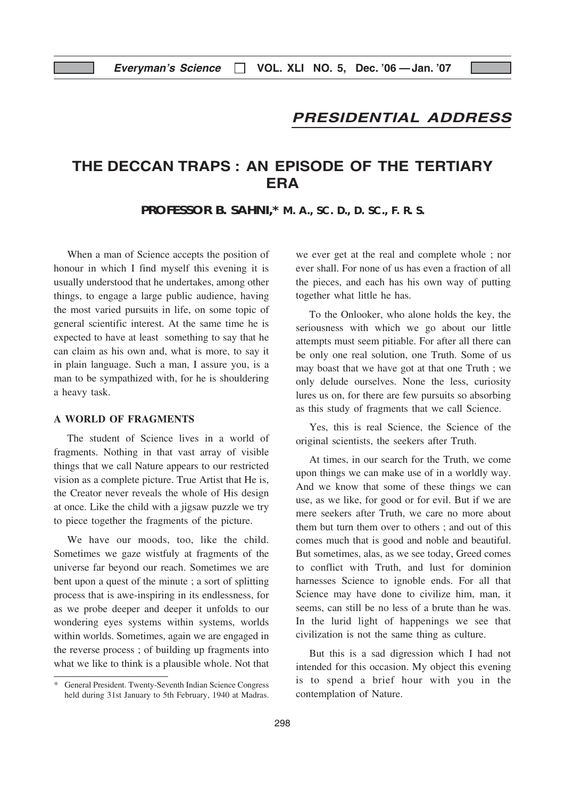## PRESIDENTIAL ADDRESS

# THE DECCAN TRAPS : AN EPISODE OF THE TERTIARY ERA

## **PROFESSOR B. SAHNI,\* M. A., SC. D., D. SC., F. R. S.**

When a man of Science accepts the position of honour in which I find myself this evening it is usually understood that he undertakes, among other things, to engage a large public audience, having the most varied pursuits in life, on some topic of general scientific interest. At the same time he is expected to have at least something to say that he can claim as his own and, what is more, to say it in plain language. Such a man, I assure you, is a man to be sympathized with, for he is shouldering a heavy task.

#### A WORLD OF FRAGMENTS

The student of Science lives in a world of fragments. Nothing in that vast array of visible things that we call Nature appears to our restricted vision as a complete picture. True Artist that He is, the Creator never reveals the whole of His design at once. Like the child with a jigsaw puzzle we try to piece together the fragments of the picture.

We have our moods, too, like the child. Sometimes we gaze wistfuly at fragments of the universe far beyond our reach. Sometimes we are bent upon a quest of the minute ; a sort of splitting process that is awe-inspiring in its endlessness, for as we probe deeper and deeper it unfolds to our wondering eyes systems within systems, worlds within worlds. Sometimes, again we are engaged in the reverse process ; of building up fragments into what we like to think is a plausible whole. Not that

we ever get at the real and complete whole ; nor ever shall. For none of us has even a fraction of all the pieces, and each has his own way of putting together what little he has.

To the Onlooker, who alone holds the key, the seriousness with which we go about our little attempts must seem pitiable. For after all there can be only one real solution, one Truth. Some of us may boast that we have got at that one Truth ; we only delude ourselves. None the less, curiosity lures us on, for there are few pursuits so absorbing as this study of fragments that we call Science.

Yes, this is real Science, the Science of the original scientists, the seekers after Truth.

At times, in our search for the Truth, we come upon things we can make use of in a worldly way. And we know that some of these things we can use, as we like, for good or for evil. But if we are mere seekers after Truth, we care no more about them but turn them over to others ; and out of this comes much that is good and noble and beautiful. But sometimes, alas, as we see today, Greed comes to conflict with Truth, and lust for dominion harnesses Science to ignoble ends. For all that Science may have done to civilize him, man, it seems, can still be no less of a brute than he was. In the lurid light of happenings we see that civilization is not the same thing as culture.

But this is a sad digression which I had not intended for this occasion. My object this evening is to spend a brief hour with you in the contemplation of Nature.

General President. Twenty-Seventh Indian Science Congress held during 31st January to 5th February, 1940 at Madras.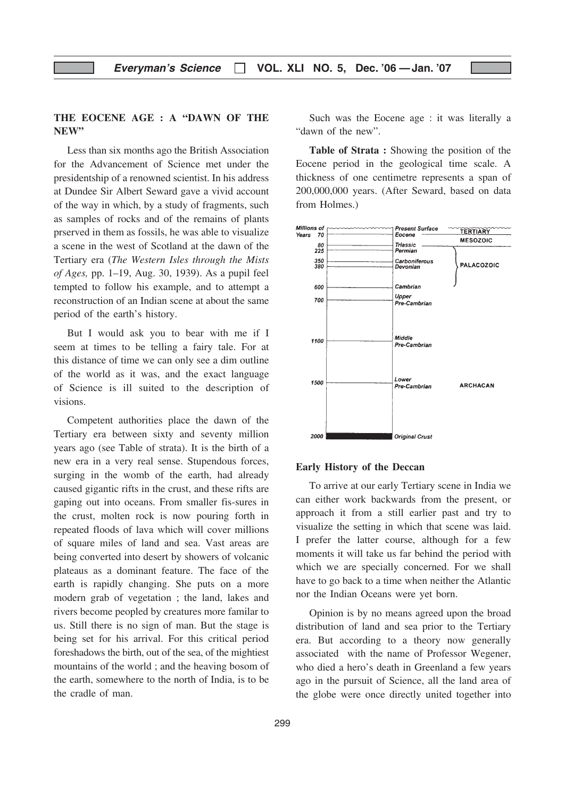## THE EOCENE AGE : A "DAWN OF THE NEW"

Less than six months ago the British Association for the Advancement of Science met under the presidentship of a renowned scientist. In his address at Dundee Sir Albert Seward gave a vivid account of the way in which, by a study of fragments, such as samples of rocks and of the remains of plants prserved in them as fossils, he was able to visualize a scene in the west of Scotland at the dawn of the Tertiary era (The Western Isles through the Mists of Ages, pp. 1–19, Aug. 30, 1939). As a pupil feel tempted to follow his example, and to attempt a reconstruction of an Indian scene at about the same period of the earth's history.

But I would ask you to bear with me if I seem at times to be telling a fairy tale. For at this distance of time we can only see a dim outline of the world as it was, and the exact language of Science is ill suited to the description of visions.

Competent authorities place the dawn of the Tertiary era between sixty and seventy million years ago (see Table of strata). It is the birth of a new era in a very real sense. Stupendous forces, surging in the womb of the earth, had already caused gigantic rifts in the crust, and these rifts are gaping out into oceans. From smaller fis-sures in the crust, molten rock is now pouring forth in repeated floods of lava which will cover millions of square miles of land and sea. Vast areas are being converted into desert by showers of volcanic plateaus as a dominant feature. The face of the earth is rapidly changing. She puts on a more modern grab of vegetation ; the land, lakes and rivers become peopled by creatures more familar to us. Still there is no sign of man. But the stage is being set for his arrival. For this critical period foreshadows the birth, out of the sea, of the mightiest mountains of the world ; and the heaving bosom of the earth, somewhere to the north of India, is to be the cradle of man.

Such was the Eocene age : it was literally a "dawn of the new".

Table of Strata : Showing the position of the Eocene period in the geological time scale. A thickness of one centimetre represents a span of 200,000,000 years. (After Seward, based on data from Holmes.)



#### Early History of the Deccan

To arrive at our early Tertiary scene in India we can either work backwards from the present, or approach it from a still earlier past and try to visualize the setting in which that scene was laid. I prefer the latter course, although for a few moments it will take us far behind the period with which we are specially concerned. For we shall have to go back to a time when neither the Atlantic nor the Indian Oceans were yet born.

Opinion is by no means agreed upon the broad distribution of land and sea prior to the Tertiary era. But according to a theory now generally associated with the name of Professor Wegener, who died a hero's death in Greenland a few years ago in the pursuit of Science, all the land area of the globe were once directly united together into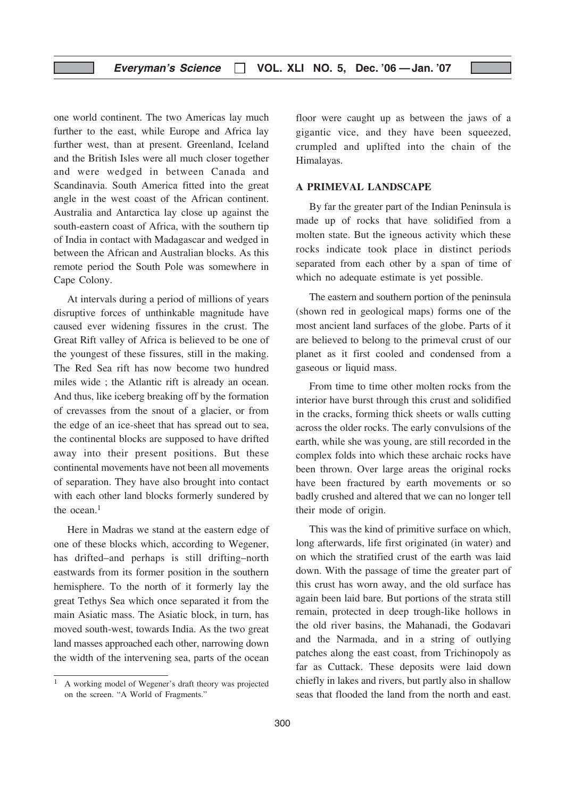## Everyman's Science  $\Box$  VOL. XLI NO. 5, Dec. '06 - Jan. '07

one world continent. The two Americas lay much further to the east, while Europe and Africa lay further west, than at present. Greenland, Iceland and the British Isles were all much closer together and were wedged in between Canada and Scandinavia. South America fitted into the great angle in the west coast of the African continent. Australia and Antarctica lay close up against the south-eastern coast of Africa, with the southern tip of India in contact with Madagascar and wedged in between the African and Australian blocks. As this remote period the South Pole was somewhere in Cape Colony.

At intervals during a period of millions of years disruptive forces of unthinkable magnitude have caused ever widening fissures in the crust. The Great Rift valley of Africa is believed to be one of the youngest of these fissures, still in the making. The Red Sea rift has now become two hundred miles wide ; the Atlantic rift is already an ocean. And thus, like iceberg breaking off by the formation of crevasses from the snout of a glacier, or from the edge of an ice-sheet that has spread out to sea, the continental blocks are supposed to have drifted away into their present positions. But these continental movements have not been all movements of separation. They have also brought into contact with each other land blocks formerly sundered by the ocean.<sup>1</sup>

Here in Madras we stand at the eastern edge of one of these blocks which, according to Wegener, has drifted–and perhaps is still drifting–north eastwards from its former position in the southern hemisphere. To the north of it formerly lay the great Tethys Sea which once separated it from the main Asiatic mass. The Asiatic block, in turn, has moved south-west, towards India. As the two great land masses approached each other, narrowing down the width of the intervening sea, parts of the ocean

floor were caught up as between the jaws of a gigantic vice, and they have been squeezed, crumpled and uplifted into the chain of the Himalayas.

#### A PRIMEVAL LANDSCAPE

By far the greater part of the Indian Peninsula is made up of rocks that have solidified from a molten state. But the igneous activity which these rocks indicate took place in distinct periods separated from each other by a span of time of which no adequate estimate is yet possible.

The eastern and southern portion of the peninsula (shown red in geological maps) forms one of the most ancient land surfaces of the globe. Parts of it are believed to belong to the primeval crust of our planet as it first cooled and condensed from a gaseous or liquid mass.

From time to time other molten rocks from the interior have burst through this crust and solidified in the cracks, forming thick sheets or walls cutting across the older rocks. The early convulsions of the earth, while she was young, are still recorded in the complex folds into which these archaic rocks have been thrown. Over large areas the original rocks have been fractured by earth movements or so badly crushed and altered that we can no longer tell their mode of origin.

This was the kind of primitive surface on which, long afterwards, life first originated (in water) and on which the stratified crust of the earth was laid down. With the passage of time the greater part of this crust has worn away, and the old surface has again been laid bare. But portions of the strata still remain, protected in deep trough-like hollows in the old river basins, the Mahanadi, the Godavari and the Narmada, and in a string of outlying patches along the east coast, from Trichinopoly as far as Cuttack. These deposits were laid down chiefly in lakes and rivers, but partly also in shallow seas that flooded the land from the north and east.

<sup>1</sup> A working model of Wegener's draft theory was projected on the screen. "A World of Fragments."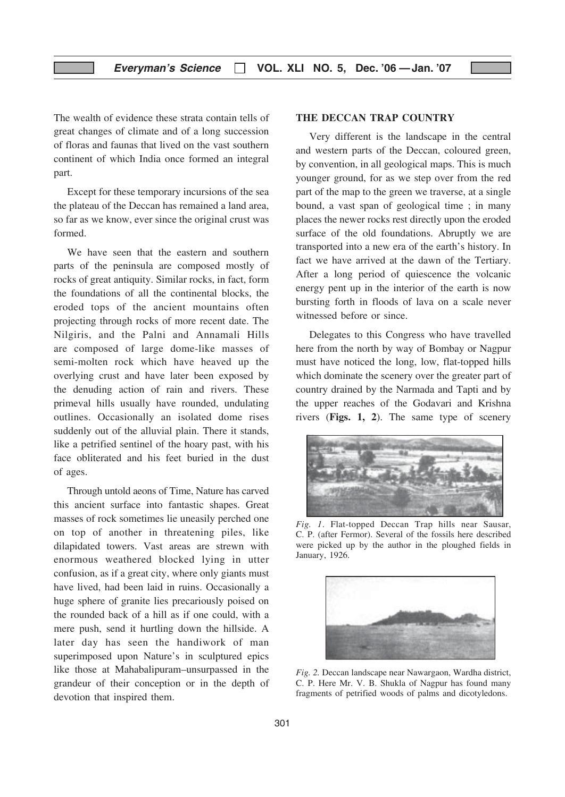The wealth of evidence these strata contain tells of great changes of climate and of a long succession of floras and faunas that lived on the vast southern continent of which India once formed an integral part.

Except for these temporary incursions of the sea the plateau of the Deccan has remained a land area, so far as we know, ever since the original crust was formed.

We have seen that the eastern and southern parts of the peninsula are composed mostly of rocks of great antiquity. Similar rocks, in fact, form the foundations of all the continental blocks, the eroded tops of the ancient mountains often projecting through rocks of more recent date. The Nilgiris, and the Palni and Annamali Hills are composed of large dome-like masses of semi-molten rock which have heaved up the overlying crust and have later been exposed by the denuding action of rain and rivers. These primeval hills usually have rounded, undulating outlines. Occasionally an isolated dome rises suddenly out of the alluvial plain. There it stands, like a petrified sentinel of the hoary past, with his face obliterated and his feet buried in the dust of ages.

Through untold aeons of Time, Nature has carved this ancient surface into fantastic shapes. Great masses of rock sometimes lie uneasily perched one on top of another in threatening piles, like dilapidated towers. Vast areas are strewn with enormous weathered blocked lying in utter confusion, as if a great city, where only giants must have lived, had been laid in ruins. Occasionally a huge sphere of granite lies precariously poised on the rounded back of a hill as if one could, with a mere push, send it hurtling down the hillside. A later day has seen the handiwork of man superimposed upon Nature's in sculptured epics like those at Mahabalipuram–unsurpassed in the grandeur of their conception or in the depth of devotion that inspired them.

#### THE DECCAN TRAP COUNTRY

Very different is the landscape in the central and western parts of the Deccan, coloured green, by convention, in all geological maps. This is much younger ground, for as we step over from the red part of the map to the green we traverse, at a single bound, a vast span of geological time ; in many places the newer rocks rest directly upon the eroded surface of the old foundations. Abruptly we are transported into a new era of the earth's history. In fact we have arrived at the dawn of the Tertiary. After a long period of quiescence the volcanic energy pent up in the interior of the earth is now bursting forth in floods of lava on a scale never witnessed before or since.

Delegates to this Congress who have travelled here from the north by way of Bombay or Nagpur must have noticed the long, low, flat-topped hills which dominate the scenery over the greater part of country drained by the Narmada and Tapti and by the upper reaches of the Godavari and Krishna rivers (Figs. 1, 2). The same type of scenery



Fig. 1. Flat-topped Deccan Trap hills near Sausar, C. P. (after Fermor). Several of the fossils here described were picked up by the author in the ploughed fields in January, 1926.



Fig. 2. Deccan landscape near Nawargaon, Wardha district, C. P. Here Mr. V. B. Shukla of Nagpur has found many fragments of petrified woods of palms and dicotyledons.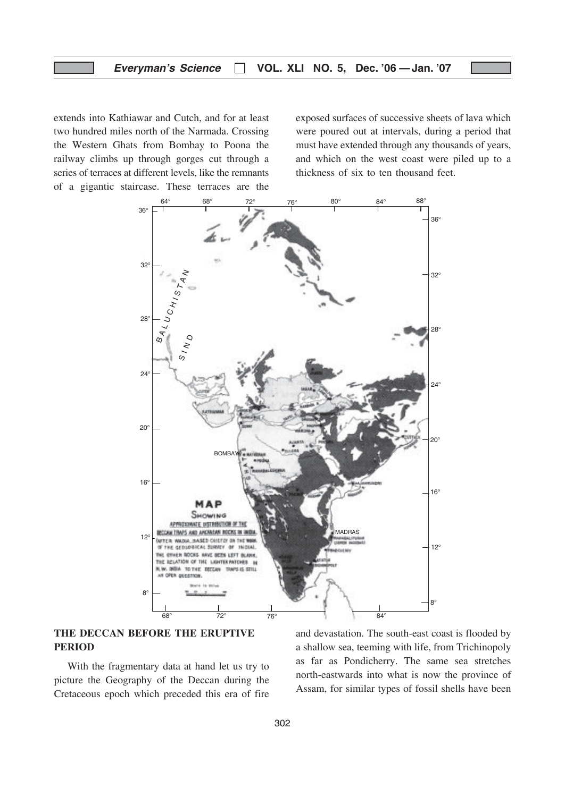extends into Kathiawar and Cutch, and for at least two hundred miles north of the Narmada. Crossing the Western Ghats from Bombay to Poona the railway climbs up through gorges cut through a series of terraces at different levels, like the remnants of a gigantic staircase. These terraces are the exposed surfaces of successive sheets of lava which were poured out at intervals, during a period that must have extended through any thousands of years, and which on the west coast were piled up to a thickness of six to ten thousand feet.



## THE DECCAN BEFORE THE ERUPTIVE PERIOD

With the fragmentary data at hand let us try to picture the Geography of the Deccan during the Cretaceous epoch which preceded this era of fire and devastation. The south-east coast is flooded by a shallow sea, teeming with life, from Trichinopoly as far as Pondicherry. The same sea stretches north-eastwards into what is now the province of Assam, for similar types of fossil shells have been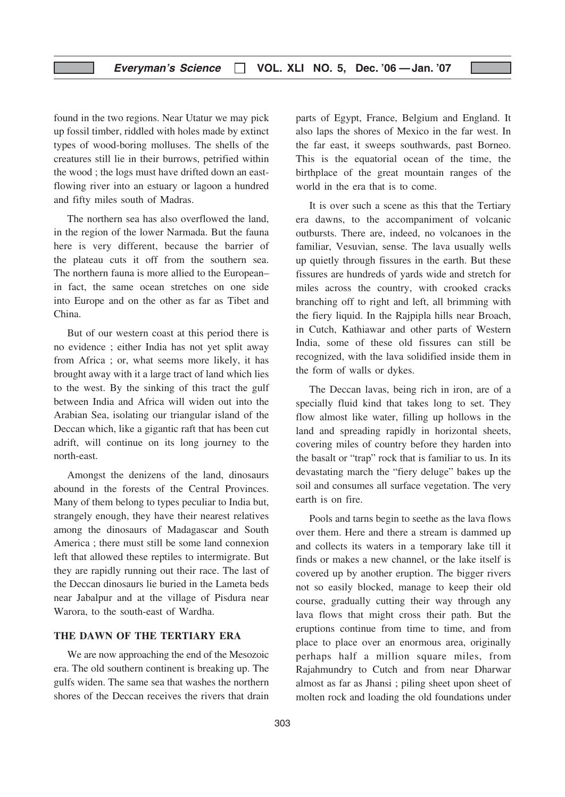found in the two regions. Near Utatur we may pick up fossil timber, riddled with holes made by extinct types of wood-boring molluses. The shells of the creatures still lie in their burrows, petrified within the wood ; the logs must have drifted down an eastflowing river into an estuary or lagoon a hundred and fifty miles south of Madras.

The northern sea has also overflowed the land, in the region of the lower Narmada. But the fauna here is very different, because the barrier of the plateau cuts it off from the southern sea. The northern fauna is more allied to the European– in fact, the same ocean stretches on one side into Europe and on the other as far as Tibet and China.

But of our western coast at this period there is no evidence ; either India has not yet split away from Africa ; or, what seems more likely, it has brought away with it a large tract of land which lies to the west. By the sinking of this tract the gulf between India and Africa will widen out into the Arabian Sea, isolating our triangular island of the Deccan which, like a gigantic raft that has been cut adrift, will continue on its long journey to the north-east.

Amongst the denizens of the land, dinosaurs abound in the forests of the Central Provinces. Many of them belong to types peculiar to India but, strangely enough, they have their nearest relatives among the dinosaurs of Madagascar and South America ; there must still be some land connexion left that allowed these reptiles to intermigrate. But they are rapidly running out their race. The last of the Deccan dinosaurs lie buried in the Lameta beds near Jabalpur and at the village of Pisdura near Warora, to the south-east of Wardha.

## THE DAWN OF THE TERTIARY ERA

We are now approaching the end of the Mesozoic era. The old southern continent is breaking up. The gulfs widen. The same sea that washes the northern shores of the Deccan receives the rivers that drain

parts of Egypt, France, Belgium and England. It also laps the shores of Mexico in the far west. In the far east, it sweeps southwards, past Borneo. This is the equatorial ocean of the time, the birthplace of the great mountain ranges of the world in the era that is to come.

It is over such a scene as this that the Tertiary era dawns, to the accompaniment of volcanic outbursts. There are, indeed, no volcanoes in the familiar, Vesuvian, sense. The lava usually wells up quietly through fissures in the earth. But these fissures are hundreds of yards wide and stretch for miles across the country, with crooked cracks branching off to right and left, all brimming with the fiery liquid. In the Rajpipla hills near Broach, in Cutch, Kathiawar and other parts of Western India, some of these old fissures can still be recognized, with the lava solidified inside them in the form of walls or dykes.

The Deccan lavas, being rich in iron, are of a specially fluid kind that takes long to set. They flow almost like water, filling up hollows in the land and spreading rapidly in horizontal sheets, covering miles of country before they harden into the basalt or "trap" rock that is familiar to us. In its devastating march the "fiery deluge" bakes up the soil and consumes all surface vegetation. The very earth is on fire.

Pools and tarns begin to seethe as the lava flows over them. Here and there a stream is dammed up and collects its waters in a temporary lake till it finds or makes a new channel, or the lake itself is covered up by another eruption. The bigger rivers not so easily blocked, manage to keep their old course, gradually cutting their way through any lava flows that might cross their path. But the eruptions continue from time to time, and from place to place over an enormous area, originally perhaps half a million square miles, from Rajahmundry to Cutch and from near Dharwar almost as far as Jhansi ; piling sheet upon sheet of molten rock and loading the old foundations under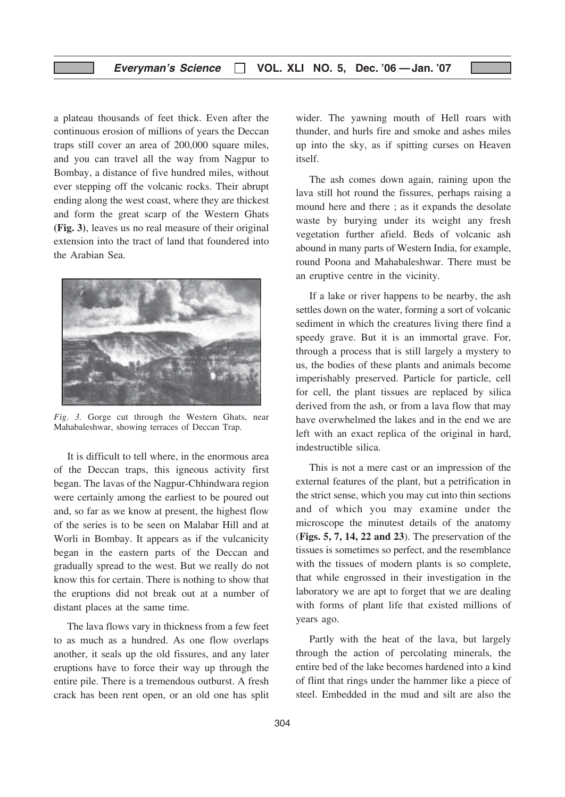a plateau thousands of feet thick. Even after the continuous erosion of millions of years the Deccan traps still cover an area of 200,000 square miles, and you can travel all the way from Nagpur to Bombay, a distance of five hundred miles, without ever stepping off the volcanic rocks. Their abrupt ending along the west coast, where they are thickest and form the great scarp of the Western Ghats (Fig. 3), leaves us no real measure of their original extension into the tract of land that foundered into the Arabian Sea.



Fig. 3. Gorge cut through the Western Ghats, near Mahabaleshwar, showing terraces of Deccan Trap.

It is difficult to tell where, in the enormous area of the Deccan traps, this igneous activity first began. The lavas of the Nagpur-Chhindwara region were certainly among the earliest to be poured out and, so far as we know at present, the highest flow of the series is to be seen on Malabar Hill and at Worli in Bombay. It appears as if the vulcanicity began in the eastern parts of the Deccan and gradually spread to the west. But we really do not know this for certain. There is nothing to show that the eruptions did not break out at a number of distant places at the same time.

The lava flows vary in thickness from a few feet to as much as a hundred. As one flow overlaps another, it seals up the old fissures, and any later eruptions have to force their way up through the entire pile. There is a tremendous outburst. A fresh crack has been rent open, or an old one has split

wider. The yawning mouth of Hell roars with thunder, and hurls fire and smoke and ashes miles up into the sky, as if spitting curses on Heaven itself.

The ash comes down again, raining upon the lava still hot round the fissures, perhaps raising a mound here and there; as it expands the desolate waste by burying under its weight any fresh vegetation further afield. Beds of volcanic ash abound in many parts of Western India, for example, round Poona and Mahabaleshwar. There must be an eruptive centre in the vicinity.

If a lake or river happens to be nearby, the ash settles down on the water, forming a sort of volcanic sediment in which the creatures living there find a speedy grave. But it is an immortal grave. For, through a process that is still largely a mystery to us, the bodies of these plants and animals become imperishably preserved. Particle for particle, cell for cell, the plant tissues are replaced by silica derived from the ash, or from a lava flow that may have overwhelmed the lakes and in the end we are left with an exact replica of the original in hard, indestructible silica.

This is not a mere cast or an impression of the external features of the plant, but a petrification in the strict sense, which you may cut into thin sections and of which you may examine under the microscope the minutest details of the anatomy (Figs. 5, 7, 14, 22 and 23). The preservation of the tissues is sometimes so perfect, and the resemblance with the tissues of modern plants is so complete, that while engrossed in their investigation in the laboratory we are apt to forget that we are dealing with forms of plant life that existed millions of years ago.

Partly with the heat of the lava, but largely through the action of percolating minerals, the entire bed of the lake becomes hardened into a kind of flint that rings under the hammer like a piece of steel. Embedded in the mud and silt are also the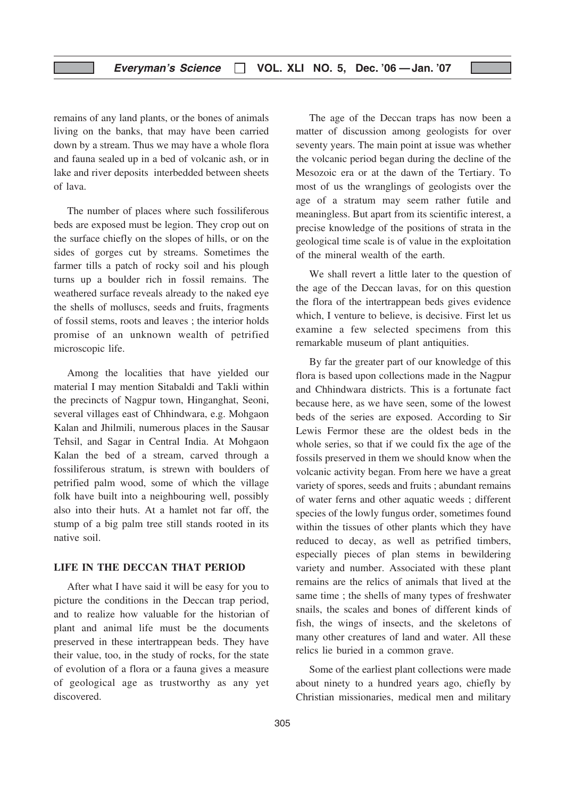remains of any land plants, or the bones of animals living on the banks, that may have been carried down by a stream. Thus we may have a whole flora and fauna sealed up in a bed of volcanic ash, or in lake and river deposits interbedded between sheets of lava.

The number of places where such fossiliferous beds are exposed must be legion. They crop out on the surface chiefly on the slopes of hills, or on the sides of gorges cut by streams. Sometimes the farmer tills a patch of rocky soil and his plough turns up a boulder rich in fossil remains. The weathered surface reveals already to the naked eye the shells of molluscs, seeds and fruits, fragments of fossil stems, roots and leaves ; the interior holds promise of an unknown wealth of petrified microscopic life.

Among the localities that have yielded our material I may mention Sitabaldi and Takli within the precincts of Nagpur town, Hinganghat, Seoni, several villages east of Chhindwara, e.g. Mohgaon Kalan and Jhilmili, numerous places in the Sausar Tehsil, and Sagar in Central India. At Mohgaon Kalan the bed of a stream, carved through a fossiliferous stratum, is strewn with boulders of petrified palm wood, some of which the village folk have built into a neighbouring well, possibly also into their huts. At a hamlet not far off, the stump of a big palm tree still stands rooted in its native soil.

## LIFE IN THE DECCAN THAT PERIOD

After what I have said it will be easy for you to picture the conditions in the Deccan trap period, and to realize how valuable for the historian of plant and animal life must be the documents preserved in these intertrappean beds. They have their value, too, in the study of rocks, for the state of evolution of a flora or a fauna gives a measure of geological age as trustworthy as any yet discovered.

The age of the Deccan traps has now been a matter of discussion among geologists for over seventy years. The main point at issue was whether the volcanic period began during the decline of the Mesozoic era or at the dawn of the Tertiary. To most of us the wranglings of geologists over the age of a stratum may seem rather futile and meaningless. But apart from its scientific interest, a precise knowledge of the positions of strata in the geological time scale is of value in the exploitation of the mineral wealth of the earth.

We shall revert a little later to the question of the age of the Deccan lavas, for on this question the flora of the intertrappean beds gives evidence which, I venture to believe, is decisive. First let us examine a few selected specimens from this remarkable museum of plant antiquities.

By far the greater part of our knowledge of this flora is based upon collections made in the Nagpur and Chhindwara districts. This is a fortunate fact because here, as we have seen, some of the lowest beds of the series are exposed. According to Sir Lewis Fermor these are the oldest beds in the whole series, so that if we could fix the age of the fossils preserved in them we should know when the volcanic activity began. From here we have a great variety of spores, seeds and fruits ; abundant remains of water ferns and other aquatic weeds ; different species of the lowly fungus order, sometimes found within the tissues of other plants which they have reduced to decay, as well as petrified timbers, especially pieces of plan stems in bewildering variety and number. Associated with these plant remains are the relics of animals that lived at the same time ; the shells of many types of freshwater snails, the scales and bones of different kinds of fish, the wings of insects, and the skeletons of many other creatures of land and water. All these relics lie buried in a common grave.

Some of the earliest plant collections were made about ninety to a hundred years ago, chiefly by Christian missionaries, medical men and military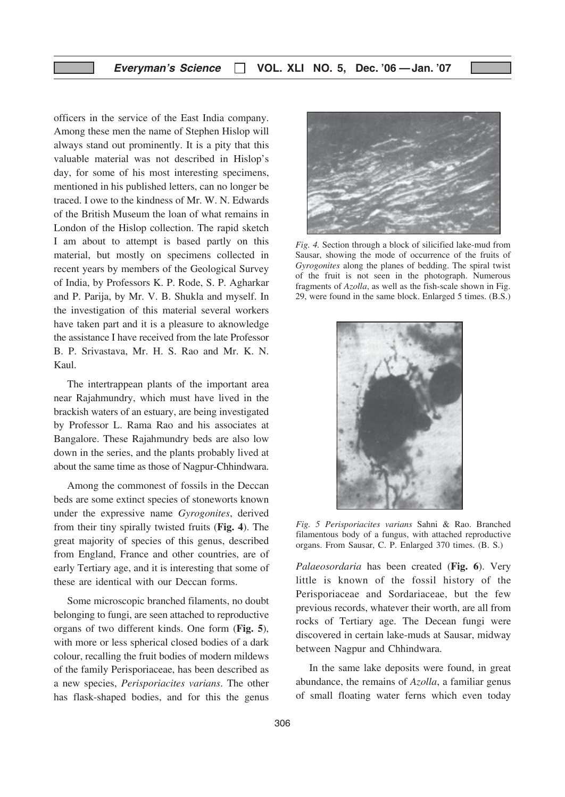officers in the service of the East India company. Among these men the name of Stephen Hislop will always stand out prominently. It is a pity that this valuable material was not described in Hislop's day, for some of his most interesting specimens, mentioned in his published letters, can no longer be traced. I owe to the kindness of Mr. W. N. Edwards of the British Museum the loan of what remains in London of the Hislop collection. The rapid sketch I am about to attempt is based partly on this material, but mostly on specimens collected in recent years by members of the Geological Survey of India, by Professors K. P. Rode, S. P. Agharkar and P. Parija, by Mr. V. B. Shukla and myself. In the investigation of this material several workers have taken part and it is a pleasure to aknowledge the assistance I have received from the late Professor B. P. Srivastava, Mr. H. S. Rao and Mr. K. N. Kaul.

The intertrappean plants of the important area near Rajahmundry, which must have lived in the brackish waters of an estuary, are being investigated by Professor L. Rama Rao and his associates at Bangalore. These Rajahmundry beds are also low down in the series, and the plants probably lived at about the same time as those of Nagpur-Chhindwara.

Among the commonest of fossils in the Deccan beds are some extinct species of stoneworts known under the expressive name Gyrogonites, derived from their tiny spirally twisted fruits (Fig. 4). The great majority of species of this genus, described from England, France and other countries, are of early Tertiary age, and it is interesting that some of these are identical with our Deccan forms.

Some microscopic branched filaments, no doubt belonging to fungi, are seen attached to reproductive organs of two different kinds. One form (Fig. 5), with more or less spherical closed bodies of a dark colour, recalling the fruit bodies of modern mildews of the family Perisporiaceae, has been described as a new species, Perisporiacites varians. The other has flask-shaped bodies, and for this the genus



Fig. 4. Section through a block of silicified lake-mud from Sausar, showing the mode of occurrence of the fruits of Gyrogonites along the planes of bedding. The spiral twist of the fruit is not seen in the photograph. Numerous fragments of Azolla, as well as the fish-scale shown in Fig. 29, were found in the same block. Enlarged 5 times. (B.S.)



Fig. 5 Perisporiacites varians Sahni & Rao. Branched filamentous body of a fungus, with attached reproductive organs. From Sausar, C. P. Enlarged 370 times. (B. S.)

Palaeosordaria has been created (Fig. 6). Very little is known of the fossil history of the Perisporiaceae and Sordariaceae, but the few previous records, whatever their worth, are all from rocks of Tertiary age. The Decean fungi were discovered in certain lake-muds at Sausar, midway between Nagpur and Chhindwara.

In the same lake deposits were found, in great abundance, the remains of Azolla, a familiar genus of small floating water ferns which even today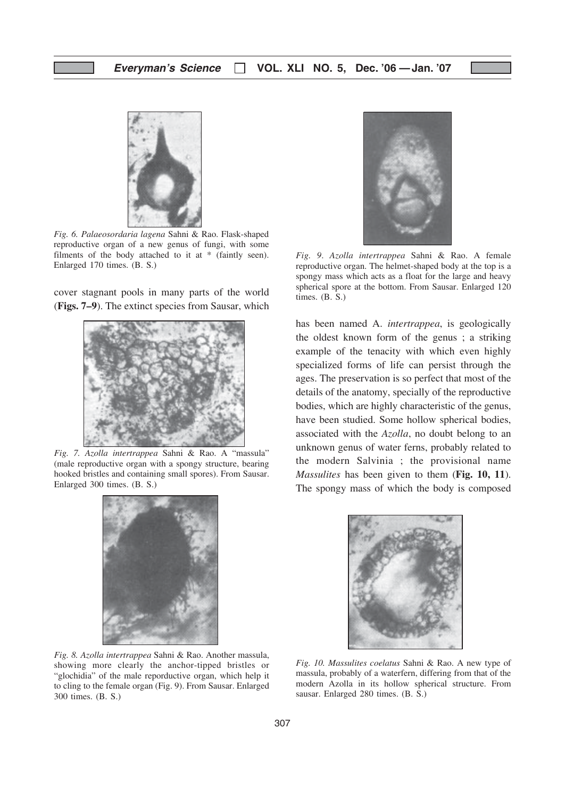

Fig. 6. Palaeosordaria lagena Sahni & Rao. Flask-shaped reproductive organ of a new genus of fungi, with some filments of the body attached to it at \* (faintly seen). Enlarged 170 times. (B. S.)

cover stagnant pools in many parts of the world (Figs. 7–9). The extinct species from Sausar, which



Fig. 7. Azolla intertrappea Sahni & Rao. A "massula" (male reproductive organ with a spongy structure, bearing hooked bristles and containing small spores). From Sausar. Enlarged 300 times. (B. S.)



Fig. 8. Azolla intertrappea Sahni & Rao. Another massula, showing more clearly the anchor-tipped bristles or "glochidia" of the male reporductive organ, which help it to cling to the female organ (Fig. 9). From Sausar. Enlarged 300 times. (B. S.)



Fig. 9. Azolla intertrappea Sahni & Rao. A female reproductive organ. The helmet-shaped body at the top is a spongy mass which acts as a float for the large and heavy spherical spore at the bottom. From Sausar. Enlarged 120 times. (B. S.)

has been named A. intertrappea, is geologically the oldest known form of the genus ; a striking example of the tenacity with which even highly specialized forms of life can persist through the ages. The preservation is so perfect that most of the details of the anatomy, specially of the reproductive bodies, which are highly characteristic of the genus, have been studied. Some hollow spherical bodies, associated with the Azolla, no doubt belong to an unknown genus of water ferns, probably related to the modern Salvinia ; the provisional name Massulites has been given to them (Fig. 10, 11). The spongy mass of which the body is composed



Fig. 10. Massulites coelatus Sahni & Rao. A new type of massula, probably of a waterfern, differing from that of the modern Azolla in its hollow spherical structure. From sausar. Enlarged 280 times. (B. S.)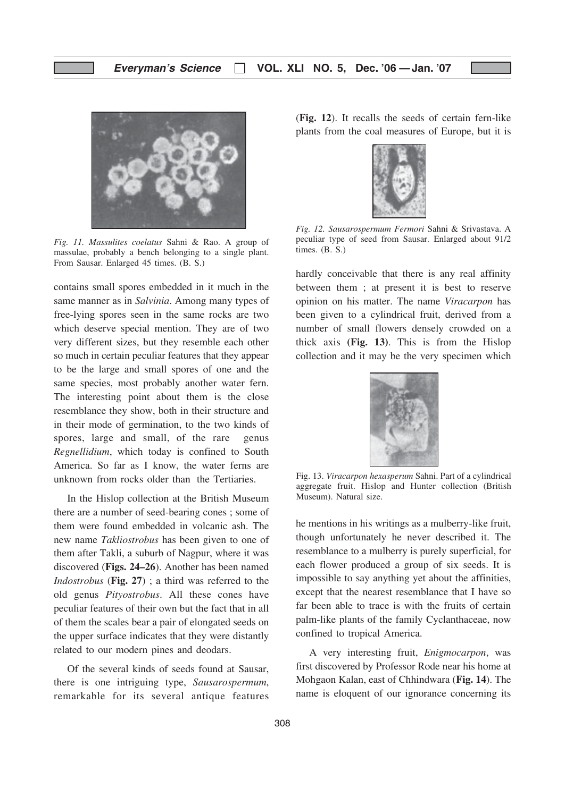

Fig. 11. Massulites coelatus Sahni & Rao. A group of massulae, probably a bench belonging to a single plant. From Sausar. Enlarged 45 times. (B. S.)

contains small spores embedded in it much in the same manner as in Salvinia. Among many types of free-lying spores seen in the same rocks are two which deserve special mention. They are of two very different sizes, but they resemble each other so much in certain peculiar features that they appear to be the large and small spores of one and the same species, most probably another water fern. The interesting point about them is the close resemblance they show, both in their structure and in their mode of germination, to the two kinds of spores, large and small, of the rare genus Regnellidium, which today is confined to South America. So far as I know, the water ferns are unknown from rocks older than the Tertiaries.

In the Hislop collection at the British Museum there are a number of seed-bearing cones ; some of them were found embedded in volcanic ash. The new name Takliostrobus has been given to one of them after Takli, a suburb of Nagpur, where it was discovered (Figs. 24–26). Another has been named Indostrobus (Fig. 27) ; a third was referred to the old genus Pityostrobus. All these cones have peculiar features of their own but the fact that in all of them the scales bear a pair of elongated seeds on the upper surface indicates that they were distantly related to our modern pines and deodars.

Of the several kinds of seeds found at Sausar, there is one intriguing type, Sausarospermum, remarkable for its several antique features (Fig. 12). It recalls the seeds of certain fern-like plants from the coal measures of Europe, but it is



Fig. 12. Sausarospermum Fermori Sahni & Srivastava. A peculiar type of seed from Sausar. Enlarged about 91/2 times. (B. S.)

hardly conceivable that there is any real affinity between them ; at present it is best to reserve opinion on his matter. The name Viracarpon has been given to a cylindrical fruit, derived from a number of small flowers densely crowded on a thick axis (Fig. 13). This is from the Hislop collection and it may be the very specimen which



Fig. 13. Viracarpon hexasperum Sahni. Part of a cylindrical aggregate fruit. Hislop and Hunter collection (British Museum). Natural size.

he mentions in his writings as a mulberry-like fruit, though unfortunately he never described it. The resemblance to a mulberry is purely superficial, for each flower produced a group of six seeds. It is impossible to say anything yet about the affinities, except that the nearest resemblance that I have so far been able to trace is with the fruits of certain palm-like plants of the family Cyclanthaceae, now confined to tropical America.

A very interesting fruit, Enigmocarpon, was first discovered by Professor Rode near his home at Mohgaon Kalan, east of Chhindwara (Fig. 14). The name is eloquent of our ignorance concerning its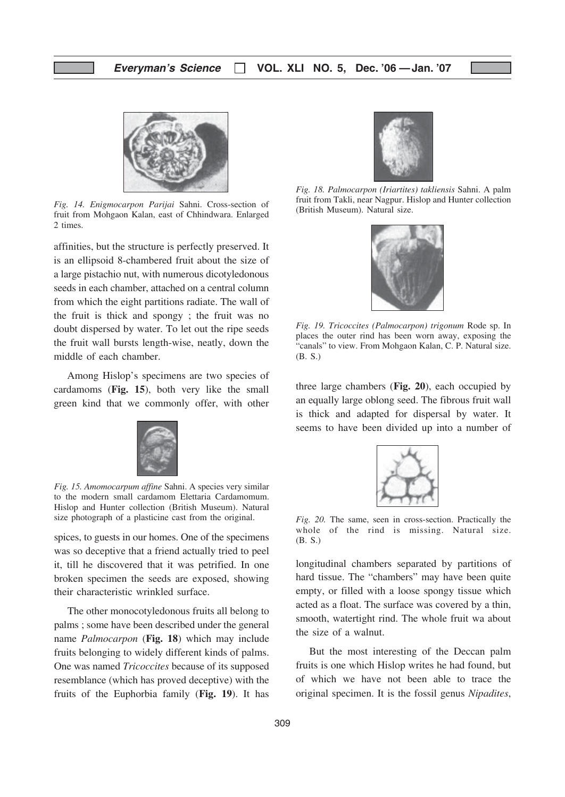

Fig. 14. Enigmocarpon Parijai Sahni. Cross-section of fruit from Mohgaon Kalan, east of Chhindwara. Enlarged 2 times.

affinities, but the structure is perfectly preserved. It is an ellipsoid 8-chambered fruit about the size of a large pistachio nut, with numerous dicotyledonous seeds in each chamber, attached on a central column from which the eight partitions radiate. The wall of the fruit is thick and spongy ; the fruit was no doubt dispersed by water. To let out the ripe seeds the fruit wall bursts length-wise, neatly, down the middle of each chamber.

Among Hislop's specimens are two species of cardamoms (Fig. 15), both very like the small green kind that we commonly offer, with other



Fig. 15. Amomocarpum affine Sahni. A species very similar to the modern small cardamom Elettaria Cardamomum. Hislop and Hunter collection (British Museum). Natural size photograph of a plasticine cast from the original.

spices, to guests in our homes. One of the specimens was so deceptive that a friend actually tried to peel it, till he discovered that it was petrified. In one broken specimen the seeds are exposed, showing their characteristic wrinkled surface.

The other monocotyledonous fruits all belong to palms ; some have been described under the general name Palmocarpon (Fig. 18) which may include fruits belonging to widely different kinds of palms. One was named Tricoccites because of its supposed resemblance (which has proved deceptive) with the fruits of the Euphorbia family (Fig. 19). It has



Fig. 18. Palmocarpon (Iriartites) takliensis Sahni. A palm fruit from Takli, near Nagpur. Hislop and Hunter collection (British Museum). Natural size.



Fig. 19. Tricoccites (Palmocarpon) trigonum Rode sp. In places the outer rind has been worn away, exposing the "canals" to view. From Mohgaon Kalan, C. P. Natural size. (B. S.)

three large chambers (Fig. 20), each occupied by an equally large oblong seed. The fibrous fruit wall is thick and adapted for dispersal by water. It seems to have been divided up into a number of



Fig. 20. The same, seen in cross-section. Practically the whole of the rind is missing. Natural size. (B. S.)

longitudinal chambers separated by partitions of hard tissue. The "chambers" may have been quite empty, or filled with a loose spongy tissue which acted as a float. The surface was covered by a thin, smooth, watertight rind. The whole fruit wa about the size of a walnut.

But the most interesting of the Deccan palm fruits is one which Hislop writes he had found, but of which we have not been able to trace the original specimen. It is the fossil genus Nipadites,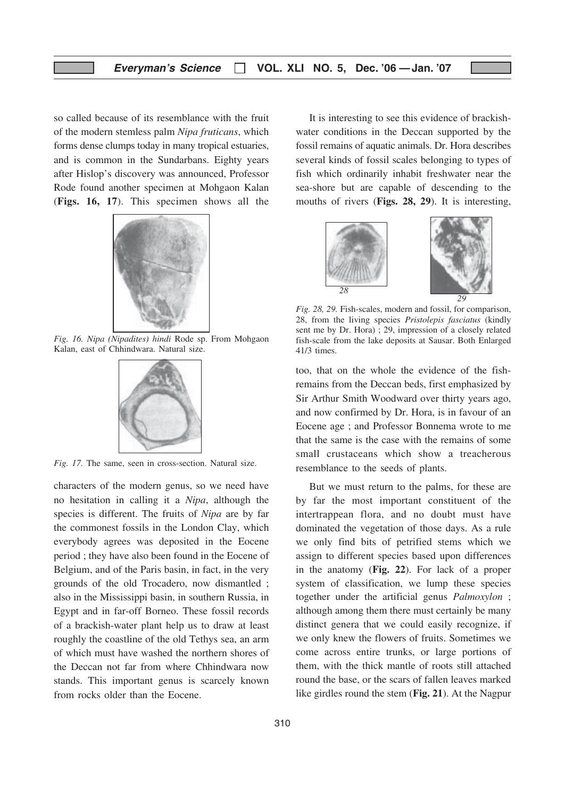so called because of its resemblance with the fruit of the modern stemless palm Nipa fruticans, which forms dense clumps today in many tropical estuaries, and is common in the Sundarbans. Eighty years after Hislop's discovery was announced, Professor Rode found another specimen at Mohgaon Kalan (Figs. 16, 17). This specimen shows all the



Fig. 16. Nipa (Nipadites) hindi Rode sp. From Mohgaon Kalan, east of Chhindwara. Natural size.



Fig. 17. The same, seen in cross-section. Natural size.

characters of the modern genus, so we need have no hesitation in calling it a Nipa, although the species is different. The fruits of Nipa are by far the commonest fossils in the London Clay, which everybody agrees was deposited in the Eocene period ; they have also been found in the Eocene of Belgium, and of the Paris basin, in fact, in the very grounds of the old Trocadero, now dismantled ; also in the Mississippi basin, in southern Russia, in Egypt and in far-off Borneo. These fossil records of a brackish-water plant help us to draw at least roughly the coastline of the old Tethys sea, an arm of which must have washed the northern shores of the Deccan not far from where Chhindwara now stands. This important genus is scarcely known from rocks older than the Eocene.

It is interesting to see this evidence of brackishwater conditions in the Deccan supported by the fossil remains of aquatic animals. Dr. Hora describes several kinds of fossil scales belonging to types of fish which ordinarily inhabit freshwater near the sea-shore but are capable of descending to the mouths of rivers (Figs. 28, 29). It is interesting,



Fig. 28, 29. Fish-scales, modern and fossil, for comparison, 28, from the living species Pristolepis fasciatus (kindly sent me by Dr. Hora) ; 29, impression of a closely related fish-scale from the lake deposits at Sausar. Both Enlarged 41/3 times.

too, that on the whole the evidence of the fishremains from the Deccan beds, first emphasized by Sir Arthur Smith Woodward over thirty years ago, and now confirmed by Dr. Hora, is in favour of an Eocene age ; and Professor Bonnema wrote to me that the same is the case with the remains of some small crustaceans which show a treacherous resemblance to the seeds of plants.

But we must return to the palms, for these are by far the most important constituent of the intertrappean flora, and no doubt must have dominated the vegetation of those days. As a rule we only find bits of petrified stems which we assign to different species based upon differences in the anatomy (Fig. 22). For lack of a proper system of classification, we lump these species together under the artificial genus Palmoxylon ; although among them there must certainly be many distinct genera that we could easily recognize, if we only knew the flowers of fruits. Sometimes we come across entire trunks, or large portions of them, with the thick mantle of roots still attached round the base, or the scars of fallen leaves marked like girdles round the stem (Fig. 21). At the Nagpur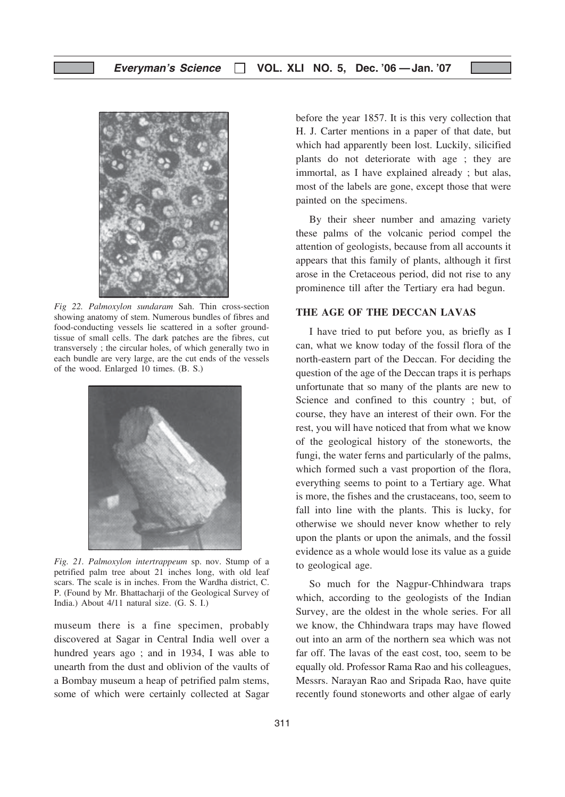

Fig 22. Palmoxylon sundaram Sah. Thin cross-section showing anatomy of stem. Numerous bundles of fibres and food-conducting vessels lie scattered in a softer groundtissue of small cells. The dark patches are the fibres, cut transversely ; the circular holes, of which generally two in each bundle are very large, are the cut ends of the vessels of the wood. Enlarged 10 times. (B. S.)



Fig. 21. Palmoxylon intertrappeum sp. nov. Stump of a petrified palm tree about 21 inches long, with old leaf scars. The scale is in inches. From the Wardha district, C. P. (Found by Mr. Bhattacharji of the Geological Survey of India.) About 4/11 natural size. (G. S. I.)

museum there is a fine specimen, probably discovered at Sagar in Central India well over a hundred years ago ; and in 1934, I was able to unearth from the dust and oblivion of the vaults of a Bombay museum a heap of petrified palm stems, some of which were certainly collected at Sagar before the year 1857. It is this very collection that H. J. Carter mentions in a paper of that date, but which had apparently been lost. Luckily, silicified plants do not deteriorate with age ; they are immortal, as I have explained already ; but alas, most of the labels are gone, except those that were painted on the specimens.

By their sheer number and amazing variety these palms of the volcanic period compel the attention of geologists, because from all accounts it appears that this family of plants, although it first arose in the Cretaceous period, did not rise to any prominence till after the Tertiary era had begun.

## THE AGE OF THE DECCAN LAVAS

I have tried to put before you, as briefly as I can, what we know today of the fossil flora of the north-eastern part of the Deccan. For deciding the question of the age of the Deccan traps it is perhaps unfortunate that so many of the plants are new to Science and confined to this country ; but, of course, they have an interest of their own. For the rest, you will have noticed that from what we know of the geological history of the stoneworts, the fungi, the water ferns and particularly of the palms, which formed such a vast proportion of the flora, everything seems to point to a Tertiary age. What is more, the fishes and the crustaceans, too, seem to fall into line with the plants. This is lucky, for otherwise we should never know whether to rely upon the plants or upon the animals, and the fossil evidence as a whole would lose its value as a guide to geological age.

So much for the Nagpur-Chhindwara traps which, according to the geologists of the Indian Survey, are the oldest in the whole series. For all we know, the Chhindwara traps may have flowed out into an arm of the northern sea which was not far off. The lavas of the east cost, too, seem to be equally old. Professor Rama Rao and his colleagues, Messrs. Narayan Rao and Sripada Rao, have quite recently found stoneworts and other algae of early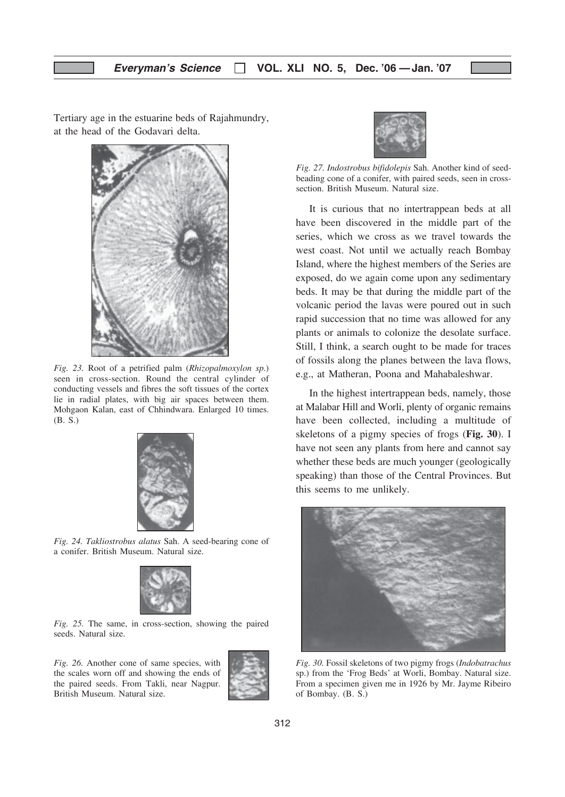Tertiary age in the estuarine beds of Rajahmundry, at the head of the Godavari delta.



Fig. 23. Root of a petrified palm (Rhizopalmoxylon sp.) seen in cross-section. Round the central cylinder of conducting vessels and fibres the soft tissues of the cortex lie in radial plates, with big air spaces between them. Mohgaon Kalan, east of Chhindwara. Enlarged 10 times. (B. S.)



Fig. 24. Takliostrobus alatus Sah. A seed-bearing cone of a conifer. British Museum. Natural size.



Fig. 25. The same, in cross-section, showing the paired seeds. Natural size.

Fig. 26. Another cone of same species, with the scales worn off and showing the ends of the paired seeds. From Takli, near Nagpur. British Museum. Natural size.





Fig. 27. Indostrobus bifidolepis Sah. Another kind of seedbeading cone of a conifer, with paired seeds, seen in crosssection. British Museum. Natural size.

It is curious that no intertrappean beds at all have been discovered in the middle part of the series, which we cross as we travel towards the west coast. Not until we actually reach Bombay Island, where the highest members of the Series are exposed, do we again come upon any sedimentary beds. It may be that during the middle part of the volcanic period the lavas were poured out in such rapid succession that no time was allowed for any plants or animals to colonize the desolate surface. Still, I think, a search ought to be made for traces of fossils along the planes between the lava flows, e.g., at Matheran, Poona and Mahabaleshwar.

In the highest intertrappean beds, namely, those at Malabar Hill and Worli, plenty of organic remains have been collected, including a multitude of skeletons of a pigmy species of frogs (Fig. 30). I have not seen any plants from here and cannot say whether these beds are much younger (geologically speaking) than those of the Central Provinces. But this seems to me unlikely.



Fig. 30. Fossil skeletons of two pigmy frogs (Indobatrachus sp.) from the 'Frog Beds' at Worli, Bombay. Natural size. From a specimen given me in 1926 by Mr. Jayme Ribeiro of Bombay. (B. S.)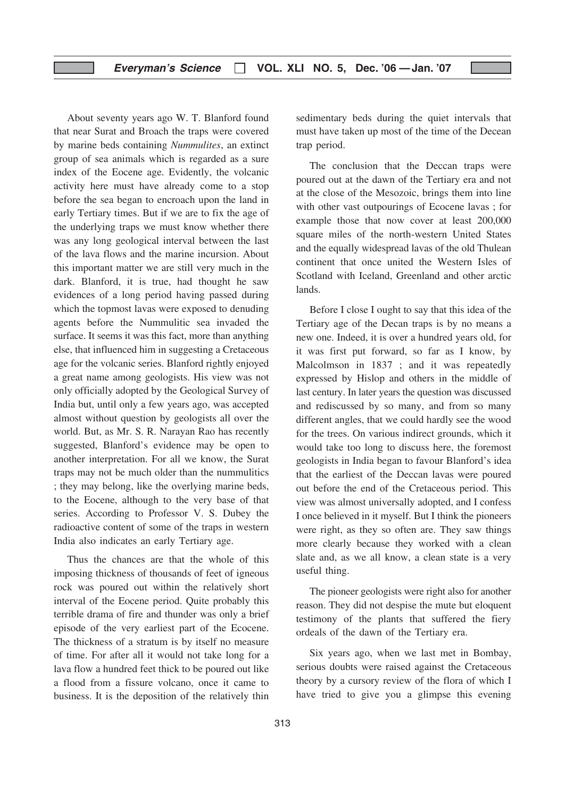## Everyman's Science  $\Box$  VOL. XLI NO. 5, Dec. '06 - Jan. '07

About seventy years ago W. T. Blanford found that near Surat and Broach the traps were covered by marine beds containing Nummulites, an extinct group of sea animals which is regarded as a sure index of the Eocene age. Evidently, the volcanic activity here must have already come to a stop before the sea began to encroach upon the land in early Tertiary times. But if we are to fix the age of the underlying traps we must know whether there was any long geological interval between the last of the lava flows and the marine incursion. About this important matter we are still very much in the dark. Blanford, it is true, had thought he saw evidences of a long period having passed during which the topmost lavas were exposed to denuding agents before the Nummulitic sea invaded the surface. It seems it was this fact, more than anything else, that influenced him in suggesting a Cretaceous age for the volcanic series. Blanford rightly enjoyed a great name among geologists. His view was not only officially adopted by the Geological Survey of India but, until only a few years ago, was accepted almost without question by geologists all over the world. But, as Mr. S. R. Narayan Rao has recently suggested, Blanford's evidence may be open to another interpretation. For all we know, the Surat traps may not be much older than the nummulitics ; they may belong, like the overlying marine beds, to the Eocene, although to the very base of that series. According to Professor V. S. Dubey the radioactive content of some of the traps in western India also indicates an early Tertiary age.

Thus the chances are that the whole of this imposing thickness of thousands of feet of igneous rock was poured out within the relatively short interval of the Eocene period. Quite probably this terrible drama of fire and thunder was only a brief episode of the very earliest part of the Ecocene. The thickness of a stratum is by itself no measure of time. For after all it would not take long for a lava flow a hundred feet thick to be poured out like a flood from a fissure volcano, once it came to business. It is the deposition of the relatively thin

sedimentary beds during the quiet intervals that must have taken up most of the time of the Decean trap period.

The conclusion that the Deccan traps were poured out at the dawn of the Tertiary era and not at the close of the Mesozoic, brings them into line with other vast outpourings of Ecocene lavas ; for example those that now cover at least 200,000 square miles of the north-western United States and the equally widespread lavas of the old Thulean continent that once united the Western Isles of Scotland with Iceland, Greenland and other arctic lands.

Before I close I ought to say that this idea of the Tertiary age of the Decan traps is by no means a new one. Indeed, it is over a hundred years old, for it was first put forward, so far as I know, by Malcolmson in 1837 ; and it was repeatedly expressed by Hislop and others in the middle of last century. In later years the question was discussed and rediscussed by so many, and from so many different angles, that we could hardly see the wood for the trees. On various indirect grounds, which it would take too long to discuss here, the foremost geologists in India began to favour Blanford's idea that the earliest of the Deccan lavas were poured out before the end of the Cretaceous period. This view was almost universally adopted, and I confess I once believed in it myself. But I think the pioneers were right, as they so often are. They saw things more clearly because they worked with a clean slate and, as we all know, a clean state is a very useful thing.

The pioneer geologists were right also for another reason. They did not despise the mute but eloquent testimony of the plants that suffered the fiery ordeals of the dawn of the Tertiary era.

Six years ago, when we last met in Bombay, serious doubts were raised against the Cretaceous theory by a cursory review of the flora of which I have tried to give you a glimpse this evening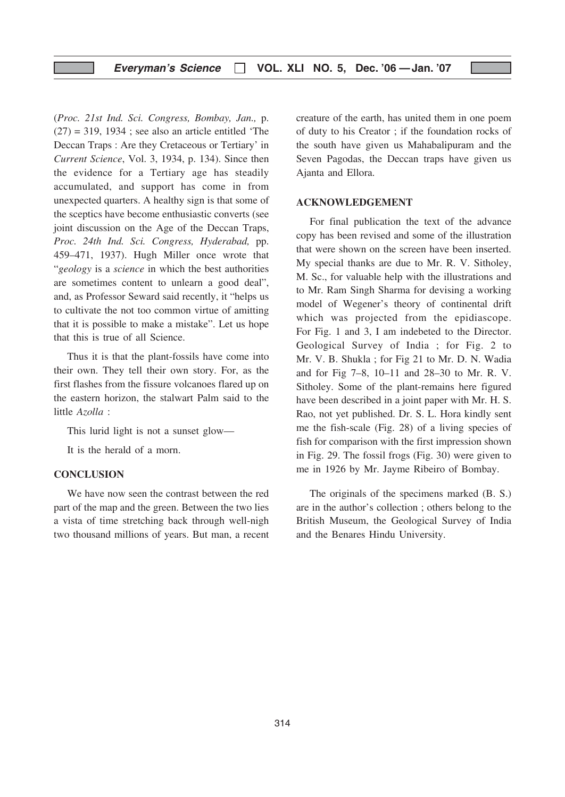## Everyman's Science  $\Box$  VOL. XLI NO. 5, Dec. '06 - Jan. '07

(Proc. 21st Ind. Sci. Congress, Bombay, Jan., p.  $(27) = 319$ , 1934; see also an article entitled 'The Deccan Traps : Are they Cretaceous or Tertiary' in Current Science, Vol. 3, 1934, p. 134). Since then the evidence for a Tertiary age has steadily accumulated, and support has come in from unexpected quarters. A healthy sign is that some of the sceptics have become enthusiastic converts (see joint discussion on the Age of the Deccan Traps, Proc. 24th Ind. Sci. Congress, Hyderabad, pp. 459–471, 1937). Hugh Miller once wrote that "geology is a science in which the best authorities" are sometimes content to unlearn a good deal", and, as Professor Seward said recently, it "helps us to cultivate the not too common virtue of amitting that it is possible to make a mistake". Let us hope that this is true of all Science.

Thus it is that the plant-fossils have come into their own. They tell their own story. For, as the first flashes from the fissure volcanoes flared up on the eastern horizon, the stalwart Palm said to the little Azolla :

This lurid light is not a sunset glow—

It is the herald of a morn.

#### **CONCLUSION**

We have now seen the contrast between the red part of the map and the green. Between the two lies a vista of time stretching back through well-nigh two thousand millions of years. But man, a recent creature of the earth, has united them in one poem of duty to his Creator ; if the foundation rocks of the south have given us Mahabalipuram and the Seven Pagodas, the Deccan traps have given us Ajanta and Ellora.

#### ACKNOWLEDGEMENT

For final publication the text of the advance copy has been revised and some of the illustration that were shown on the screen have been inserted. My special thanks are due to Mr. R. V. Sitholey, M. Sc., for valuable help with the illustrations and to Mr. Ram Singh Sharma for devising a working model of Wegener's theory of continental drift which was projected from the epidiascope. For Fig. 1 and 3, I am indebeted to the Director. Geological Survey of India ; for Fig. 2 to Mr. V. B. Shukla ; for Fig 21 to Mr. D. N. Wadia and for Fig 7–8, 10–11 and 28–30 to Mr. R. V. Sitholey. Some of the plant-remains here figured have been described in a joint paper with Mr. H. S. Rao, not yet published. Dr. S. L. Hora kindly sent me the fish-scale (Fig. 28) of a living species of fish for comparison with the first impression shown in Fig. 29. The fossil frogs (Fig. 30) were given to me in 1926 by Mr. Jayme Ribeiro of Bombay.

The originals of the specimens marked (B. S.) are in the author's collection ; others belong to the British Museum, the Geological Survey of India and the Benares Hindu University.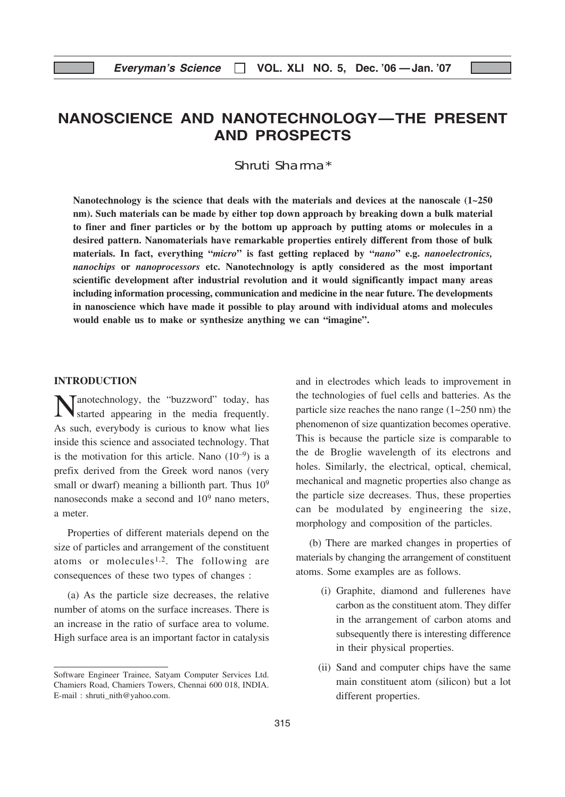# NANOSCIENCE AND NANOTECHNOLOGY—THE PRESENT AND PROSPECTS

Shruti Sharma\*

Nanotechnology is the science that deals with the materials and devices at the nanoscale  $(1-250)$ nm). Such materials can be made by either top down approach by breaking down a bulk material to finer and finer particles or by the bottom up approach by putting atoms or molecules in a desired pattern. Nanomaterials have remarkable properties entirely different from those of bulk materials. In fact, everything "micro" is fast getting replaced by "nano" e.g. nanoelectronics, nanochips or nanoprocessors etc. Nanotechnology is aptly considered as the most important scientific development after industrial revolution and it would significantly impact many areas including information processing, communication and medicine in the near future. The developments in nanoscience which have made it possible to play around with individual atoms and molecules would enable us to make or synthesize anything we can "imagine".

#### INTRODUCTION

Tanotechnology, the "buzzword" today, has started appearing in the media frequently. As such, everybody is curious to know what lies inside this science and associated technology. That is the motivation for this article. Nano  $(10^{-9})$  is a prefix derived from the Greek word nanos (very small or dwarf) meaning a billionth part. Thus  $10^9$ nanoseconds make a second and 109 nano meters, a meter.

Properties of different materials depend on the size of particles and arrangement of the constituent atoms or molecules<sup>1,2</sup>. The following are consequences of these two types of changes :

(a) As the particle size decreases, the relative number of atoms on the surface increases. There is an increase in the ratio of surface area to volume. High surface area is an important factor in catalysis and in electrodes which leads to improvement in the technologies of fuel cells and batteries. As the particle size reaches the nano range (1~250 nm) the phenomenon of size quantization becomes operative. This is because the particle size is comparable to the de Broglie wavelength of its electrons and holes. Similarly, the electrical, optical, chemical, mechanical and magnetic properties also change as the particle size decreases. Thus, these properties can be modulated by engineering the size, morphology and composition of the particles.

(b) There are marked changes in properties of materials by changing the arrangement of constituent atoms. Some examples are as follows.

- (i) Graphite, diamond and fullerenes have carbon as the constituent atom. They differ in the arrangement of carbon atoms and subsequently there is interesting difference in their physical properties.
- (ii) Sand and computer chips have the same main constituent atom (silicon) but a lot different properties.

Software Engineer Trainee, Satyam Computer Services Ltd. Chamiers Road, Chamiers Towers, Chennai 600 018, INDIA. E-mail : shruti\_nith@yahoo.com.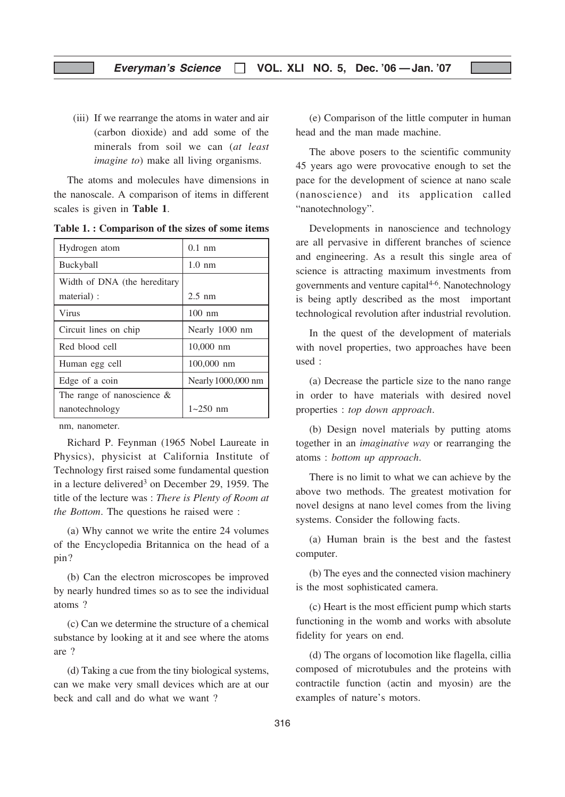(iii) If we rearrange the atoms in water and air (carbon dioxide) and add some of the minerals from soil we can (at least *imagine to*) make all living organisms.

The atoms and molecules have dimensions in the nanoscale. A comparison of items in different scales is given in Table 1.

| Hydrogen atom                 | $0.1 \text{ nm}$   |
|-------------------------------|--------------------|
| Buckyball                     | $1.0 \text{ nm}$   |
| Width of DNA (the hereditary  |                    |
| material):                    | $2.5 \text{ nm}$   |
| Virus                         | $100 \text{ nm}$   |
| Circuit lines on chip         | Nearly 1000 nm     |
| Red blood cell                | $10,000$ nm        |
| Human egg cell                | 100,000 nm         |
| Edge of a coin                | Nearly 1000,000 nm |
| The range of nanoscience $\&$ |                    |
| nanotechnology                | $1 - 250$ nm       |

Table 1. : Comparison of the sizes of some items

nm, nanometer.

Richard P. Feynman (1965 Nobel Laureate in Physics), physicist at California Institute of Technology first raised some fundamental question in a lecture delivered<sup>3</sup> on December 29, 1959. The title of the lecture was : There is Plenty of Room at the Bottom. The questions he raised were :

(a) Why cannot we write the entire 24 volumes of the Encyclopedia Britannica on the head of a pin?

(b) Can the electron microscopes be improved by nearly hundred times so as to see the individual atoms ?

(c) Can we determine the structure of a chemical substance by looking at it and see where the atoms are ?

(d) Taking a cue from the tiny biological systems, can we make very small devices which are at our beck and call and do what we want ?

(e) Comparison of the little computer in human head and the man made machine.

The above posers to the scientific community 45 years ago were provocative enough to set the pace for the development of science at nano scale (nanoscience) and its application called "nanotechnology".

Developments in nanoscience and technology are all pervasive in different branches of science and engineering. As a result this single area of science is attracting maximum investments from governments and venture capital $4-6$ . Nanotechnology is being aptly described as the most important technological revolution after industrial revolution.

In the quest of the development of materials with novel properties, two approaches have been used :

(a) Decrease the particle size to the nano range in order to have materials with desired novel properties : top down approach.

(b) Design novel materials by putting atoms together in an imaginative way or rearranging the atoms : bottom up approach.

There is no limit to what we can achieve by the above two methods. The greatest motivation for novel designs at nano level comes from the living systems. Consider the following facts.

(a) Human brain is the best and the fastest computer.

(b) The eyes and the connected vision machinery is the most sophisticated camera.

(c) Heart is the most efficient pump which starts functioning in the womb and works with absolute fidelity for years on end.

(d) The organs of locomotion like flagella, cillia composed of microtubules and the proteins with contractile function (actin and myosin) are the examples of nature's motors.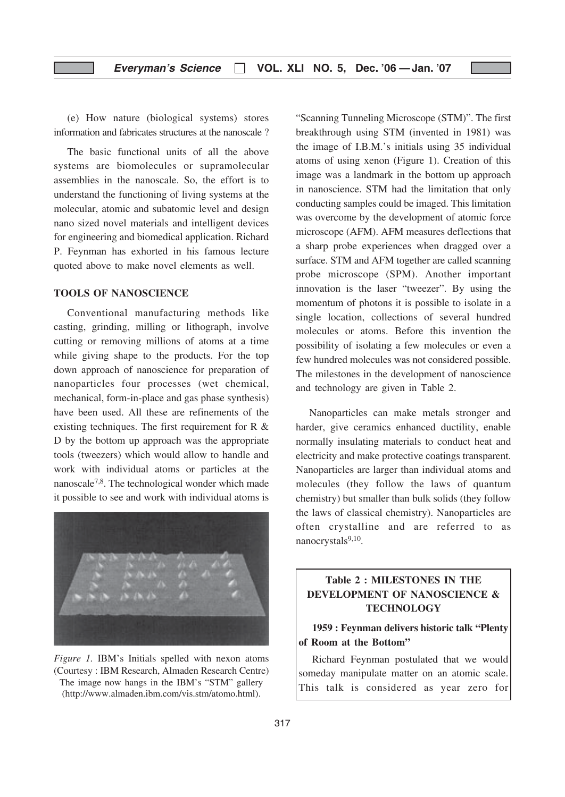(e) How nature (biological systems) stores information and fabricates structures at the nanoscale ?

The basic functional units of all the above systems are biomolecules or supramolecular assemblies in the nanoscale. So, the effort is to understand the functioning of living systems at the molecular, atomic and subatomic level and design nano sized novel materials and intelligent devices for engineering and biomedical application. Richard P. Feynman has exhorted in his famous lecture quoted above to make novel elements as well.

## TOOLS OF NANOSCIENCE

Conventional manufacturing methods like casting, grinding, milling or lithograph, involve cutting or removing millions of atoms at a time while giving shape to the products. For the top down approach of nanoscience for preparation of nanoparticles four processes (wet chemical, mechanical, form-in-place and gas phase synthesis) have been used. All these are refinements of the existing techniques. The first requirement for R & D by the bottom up approach was the appropriate tools (tweezers) which would allow to handle and work with individual atoms or particles at the nanoscale7,8. The technological wonder which made it possible to see and work with individual atoms is



Figure 1. IBM's Initials spelled with nexon atoms (Courtesy : IBM Research, Almaden Research Centre) The image now hangs in the IBM's "STM" gallery (http://www.almaden.ibm.com/vis.stm/atomo.html).

"Scanning Tunneling Microscope (STM)". The first breakthrough using STM (invented in 1981) was the image of I.B.M.'s initials using 35 individual atoms of using xenon (Figure 1). Creation of this image was a landmark in the bottom up approach in nanoscience. STM had the limitation that only conducting samples could be imaged. This limitation was overcome by the development of atomic force microscope (AFM). AFM measures deflections that a sharp probe experiences when dragged over a surface. STM and AFM together are called scanning probe microscope (SPM). Another important innovation is the laser "tweezer". By using the momentum of photons it is possible to isolate in a single location, collections of several hundred molecules or atoms. Before this invention the possibility of isolating a few molecules or even a few hundred molecules was not considered possible. The milestones in the development of nanoscience and technology are given in Table 2.

Nanoparticles can make metals stronger and harder, give ceramics enhanced ductility, enable normally insulating materials to conduct heat and electricity and make protective coatings transparent. Nanoparticles are larger than individual atoms and molecules (they follow the laws of quantum chemistry) but smaller than bulk solids (they follow the laws of classical chemistry). Nanoparticles are often crystalline and are referred to as nanocrystals<sup>9,10</sup>.

## Table 2 : MILESTONES IN THE DEVELOPMENT OF NANOSCIENCE & **TECHNOLOGY**

## 1959 : Feynman delivers historic talk "Plenty of Room at the Bottom"

Richard Feynman postulated that we would someday manipulate matter on an atomic scale. This talk is considered as year zero for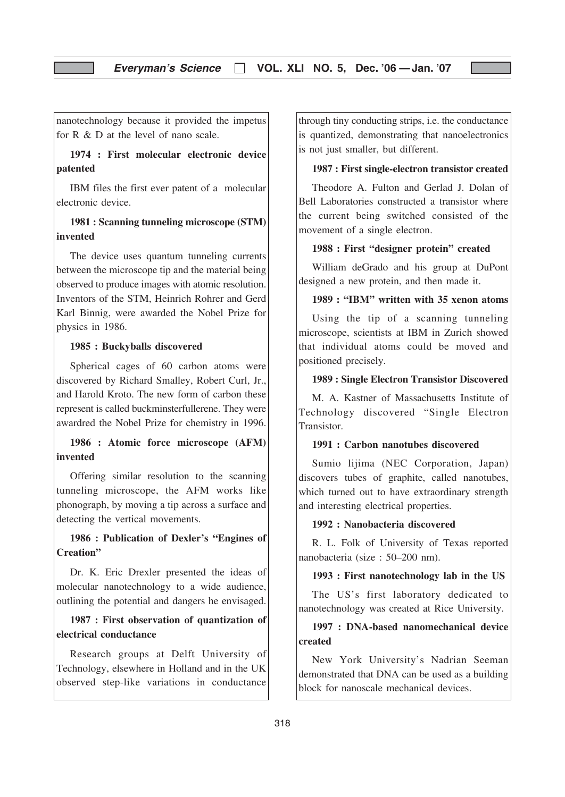nanotechnology because it provided the impetus for R & D at the level of nano scale.

1974 : First molecular electronic device patented

IBM files the first ever patent of a molecular electronic device.

## 1981 : Scanning tunneling microscope (STM) invented

The device uses quantum tunneling currents between the microscope tip and the material being observed to produce images with atomic resolution. Inventors of the STM, Heinrich Rohrer and Gerd Karl Binnig, were awarded the Nobel Prize for physics in 1986.

## 1985 : Buckyballs discovered

Spherical cages of 60 carbon atoms were discovered by Richard Smalley, Robert Curl, Jr., and Harold Kroto. The new form of carbon these represent is called buckminsterfullerene. They were awardred the Nobel Prize for chemistry in 1996.

1986 : Atomic force microscope (AFM) invented

Offering similar resolution to the scanning tunneling microscope, the AFM works like phonograph, by moving a tip across a surface and detecting the vertical movements.

## 1986 : Publication of Dexler's "Engines of Creation"

Dr. K. Eric Drexler presented the ideas of molecular nanotechnology to a wide audience, outlining the potential and dangers he envisaged.

## 1987 : First observation of quantization of electrical conductance

Research groups at Delft University of Technology, elsewhere in Holland and in the UK observed step-like variations in conductance

through tiny conducting strips, i.e. the conductance is quantized, demonstrating that nanoelectronics is not just smaller, but different.

## 1987 : First single-electron transistor created

Theodore A. Fulton and Gerlad J. Dolan of Bell Laboratories constructed a transistor where the current being switched consisted of the movement of a single electron.

#### 1988 : First "designer protein" created

William deGrado and his group at DuPont designed a new protein, and then made it.

## 1989 : "IBM" written with 35 xenon atoms

Using the tip of a scanning tunneling microscope, scientists at IBM in Zurich showed that individual atoms could be moved and positioned precisely.

#### 1989 : Single Electron Transistor Discovered

M. A. Kastner of Massachusetts Institute of Technology discovered "Single Electron **Transistor** 

## 1991 : Carbon nanotubes discovered

Sumio lijima (NEC Corporation, Japan) discovers tubes of graphite, called nanotubes, which turned out to have extraordinary strength and interesting electrical properties.

#### 1992 : Nanobacteria discovered

R. L. Folk of University of Texas reported nanobacteria (size : 50–200 nm).

#### 1993 : First nanotechnology lab in the US

The US's first laboratory dedicated to nanotechnology was created at Rice University.

## 1997 : DNA-based nanomechanical device created

New York University's Nadrian Seeman demonstrated that DNA can be used as a building block for nanoscale mechanical devices.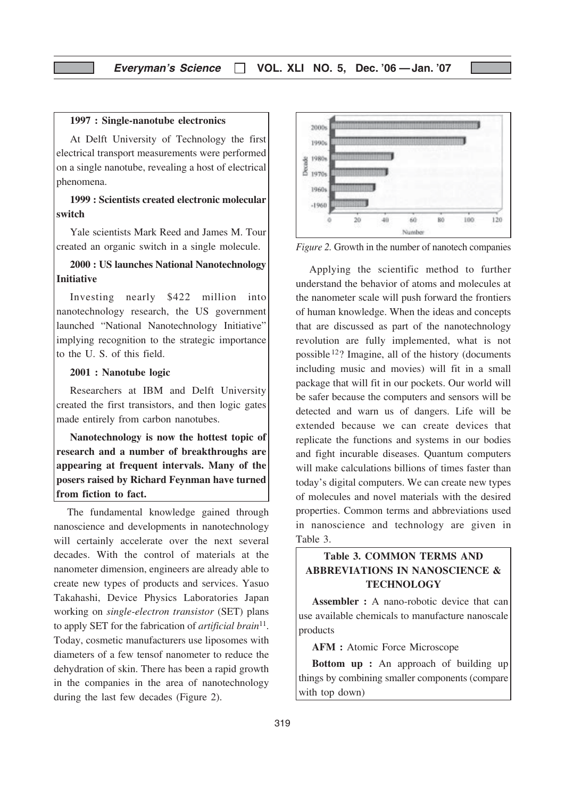#### 1997 : Single-nanotube electronics

At Delft University of Technology the first electrical transport measurements were performed on a single nanotube, revealing a host of electrical phenomena.

## 1999 : Scientists created electronic molecular switch

Yale scientists Mark Reed and James M. Tour created an organic switch in a single molecule.

## 2000 : US launches National Nanotechnology Initiative

Investing nearly \$422 million into nanotechnology research, the US government launched "National Nanotechnology Initiative" implying recognition to the strategic importance to the U. S. of this field.

## 2001 : Nanotube logic

Researchers at IBM and Delft University created the first transistors, and then logic gates made entirely from carbon nanotubes.

Nanotechnology is now the hottest topic of research and a number of breakthroughs are appearing at frequent intervals. Many of the posers raised by Richard Feynman have turned from fiction to fact.

The fundamental knowledge gained through nanoscience and developments in nanotechnology will certainly accelerate over the next several decades. With the control of materials at the nanometer dimension, engineers are already able to create new types of products and services. Yasuo Takahashi, Device Physics Laboratories Japan working on single-electron transistor (SET) plans to apply SET for the fabrication of *artificial brain*<sup>11</sup>. Today, cosmetic manufacturers use liposomes with diameters of a few tensof nanometer to reduce the dehydration of skin. There has been a rapid growth in the companies in the area of nanotechnology during the last few decades (Figure 2).



Figure 2. Growth in the number of nanotech companies

Applying the scientific method to further understand the behavior of atoms and molecules at the nanometer scale will push forward the frontiers of human knowledge. When the ideas and concepts that are discussed as part of the nanotechnology revolution are fully implemented, what is not possible 12? Imagine, all of the history (documents including music and movies) will fit in a small package that will fit in our pockets. Our world will be safer because the computers and sensors will be detected and warn us of dangers. Life will be extended because we can create devices that replicate the functions and systems in our bodies and fight incurable diseases. Quantum computers will make calculations billions of times faster than today's digital computers. We can create new types of molecules and novel materials with the desired properties. Common terms and abbreviations used in nanoscience and technology are given in Table 3.

## Table 3. COMMON TERMS AND ABBREVIATIONS IN NANOSCIENCE & **TECHNOLOGY**

Assembler : A nano-robotic device that can use available chemicals to manufacture nanoscale products

AFM : Atomic Force Microscope

Bottom up : An approach of building up things by combining smaller components (compare with top down)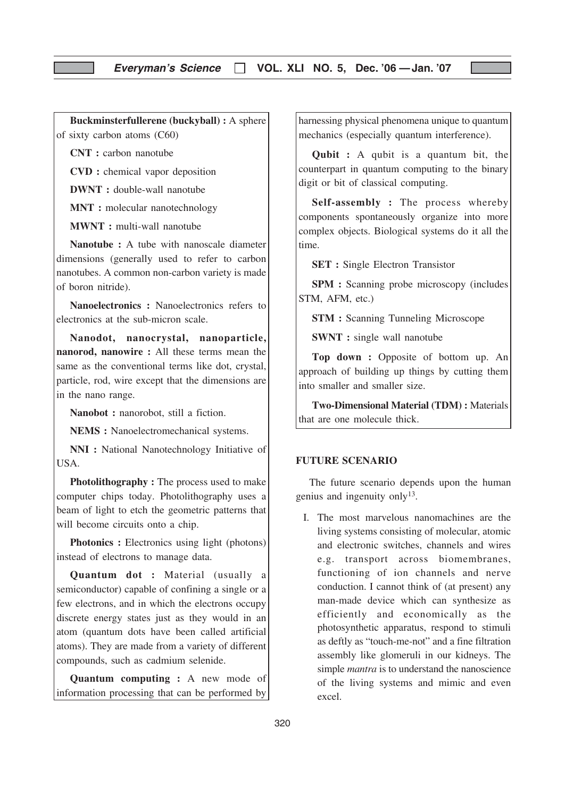Buckminsterfullerene (buckyball) : A sphere of sixty carbon atoms (C60)

CNT : carbon nanotube

CVD : chemical vapor deposition

DWNT : double-wall nanotube

MNT : molecular nanotechnology

MWNT : multi-wall nanotube

Nanotube : A tube with nanoscale diameter dimensions (generally used to refer to carbon nanotubes. A common non-carbon variety is made of boron nitride).

Nanoelectronics : Nanoelectronics refers to electronics at the sub-micron scale.

Nanodot, nanocrystal, nanoparticle, nanorod, nanowire : All these terms mean the same as the conventional terms like dot, crystal, particle, rod, wire except that the dimensions are in the nano range.

Nanobot : nanorobot, still a fiction.

NEMS : Nanoelectromechanical systems.

NNI : National Nanotechnology Initiative of USA.

Photolithography : The process used to make computer chips today. Photolithography uses a beam of light to etch the geometric patterns that will become circuits onto a chip.

Photonics : Electronics using light (photons) instead of electrons to manage data.

Quantum dot : Material (usually a semiconductor) capable of confining a single or a few electrons, and in which the electrons occupy discrete energy states just as they would in an atom (quantum dots have been called artificial atoms). They are made from a variety of different compounds, such as cadmium selenide.

Quantum computing : A new mode of information processing that can be performed by

harnessing physical phenomena unique to quantum mechanics (especially quantum interference).

Qubit : A qubit is a quantum bit, the counterpart in quantum computing to the binary digit or bit of classical computing.

Self-assembly : The process whereby components spontaneously organize into more complex objects. Biological systems do it all the time.

SET : Single Electron Transistor

SPM : Scanning probe microscopy (includes STM, AFM, etc.)

STM : Scanning Tunneling Microscope

SWNT : single wall nanotube

Top down : Opposite of bottom up. An approach of building up things by cutting them into smaller and smaller size.

Two-Dimensional Material (TDM) : Materials that are one molecule thick.

## FUTURE SCENARIO

The future scenario depends upon the human genius and ingenuity only<sup>13</sup>.

I. The most marvelous nanomachines are the living systems consisting of molecular, atomic and electronic switches, channels and wires e.g. transport across biomembranes, functioning of ion channels and nerve conduction. I cannot think of (at present) any man-made device which can synthesize as efficiently and economically as the photosynthetic apparatus, respond to stimuli as deftly as "touch-me-not" and a fine filtration assembly like glomeruli in our kidneys. The simple *mantra* is to understand the nanoscience of the living systems and mimic and even excel.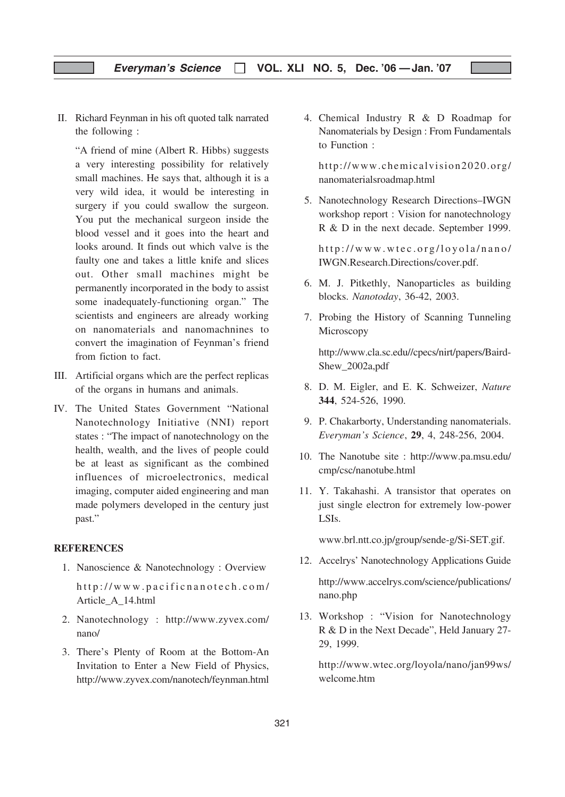II. Richard Feynman in his oft quoted talk narrated the following :

"A friend of mine (Albert R. Hibbs) suggests a very interesting possibility for relatively small machines. He says that, although it is a very wild idea, it would be interesting in surgery if you could swallow the surgeon. You put the mechanical surgeon inside the blood vessel and it goes into the heart and looks around. It finds out which valve is the faulty one and takes a little knife and slices out. Other small machines might be permanently incorporated in the body to assist some inadequately-functioning organ." The scientists and engineers are already working on nanomaterials and nanomachnines to convert the imagination of Feynman's friend from fiction to fact.

- III. Artificial organs which are the perfect replicas of the organs in humans and animals.
- IV. The United States Government "National Nanotechnology Initiative (NNI) report states : "The impact of nanotechnology on the health, wealth, and the lives of people could be at least as significant as the combined influences of microelectronics, medical imaging, computer aided engineering and man made polymers developed in the century just past."

## **REFERENCES**

1. Nanoscience & Nanotechnology : Overview http://www.pacificnanotech.com/

Article\_A\_14.html

- 2. Nanotechnology : http://www.zyvex.com/ nano/
- 3. There's Plenty of Room at the Bottom-An Invitation to Enter a New Field of Physics, http://www.zyvex.com/nanotech/feynman.html

4. Chemical Industry R & D Roadmap for Nanomaterials by Design : From Fundamentals to Function :

http://www.chemicalvision2020.org/ nanomaterialsroadmap.html

5. Nanotechnology Research Directions–IWGN workshop report : Vision for nanotechnology R & D in the next decade. September 1999.

http://www.wtec.org/loyola/nano/ IWGN.Research.Directions/cover.pdf.

- 6. M. J. Pitkethly, Nanoparticles as building blocks. Nanotoday, 36-42, 2003.
- 7. Probing the History of Scanning Tunneling Microscopy

http://www.cla.sc.edu//cpecs/nirt/papers/Baird-Shew\_2002a,pdf

- 8. D. M. Eigler, and E. K. Schweizer, Nature 344, 524-526, 1990.
- 9. P. Chakarborty, Understanding nanomaterials. Everyman's Science, 29, 4, 248-256, 2004.
- 10. The Nanotube site : http://www.pa.msu.edu/ cmp/csc/nanotube.html
- 11. Y. Takahashi. A transistor that operates on just single electron for extremely low-power LSIs.

www.brl.ntt.co.jp/group/sende-g/Si-SET.gif.

- 12. Accelrys' Nanotechnology Applications Guide http://www.accelrys.com/science/publications/ nano.php
- 13. Workshop : "Vision for Nanotechnology R & D in the Next Decade", Held January 27- 29, 1999.

http://www.wtec.org/loyola/nano/jan99ws/ welcome.htm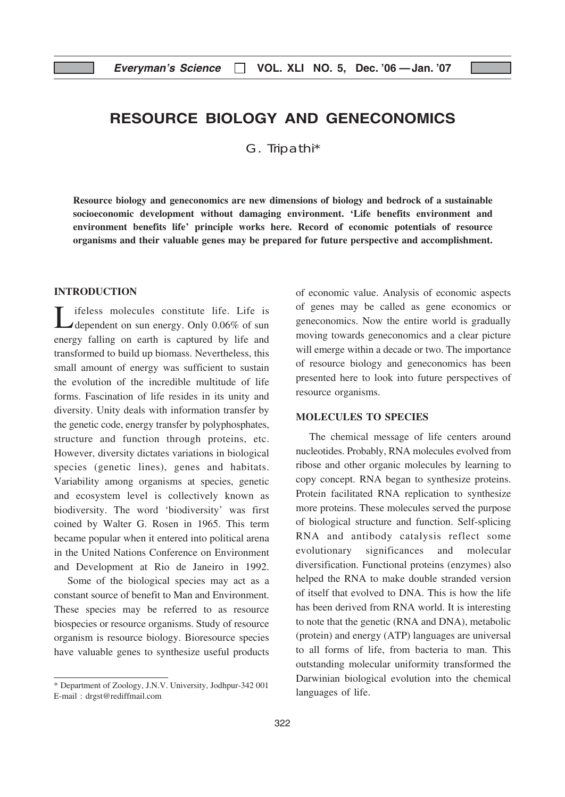## RESOURCE BIOLOGY AND GENECONOMICS

G. Tripathi\*

Resource biology and geneconomics are new dimensions of biology and bedrock of a sustainable socioeconomic development without damaging environment. 'Life benefits environment and environment benefits life' principle works here. Record of economic potentials of resource organisms and their valuable genes may be prepared for future perspective and accomplishment.

## INTRODUCTION

Lifeless molecules constitute life. Life is<br>
dependent on sun energy. Only 0.06% of sun energy falling on earth is captured by life and transformed to build up biomass. Nevertheless, this small amount of energy was sufficient to sustain the evolution of the incredible multitude of life forms. Fascination of life resides in its unity and diversity. Unity deals with information transfer by the genetic code, energy transfer by polyphosphates, structure and function through proteins, etc. However, diversity dictates variations in biological species (genetic lines), genes and habitats. Variability among organisms at species, genetic and ecosystem level is collectively known as biodiversity. The word 'biodiversity' was first coined by Walter G. Rosen in 1965. This term became popular when it entered into political arena in the United Nations Conference on Environment and Development at Rio de Janeiro in 1992.

Some of the biological species may act as a constant source of benefit to Man and Environment. These species may be referred to as resource biospecies or resource organisms. Study of resource organism is resource biology. Bioresource species have valuable genes to synthesize useful products

of economic value. Analysis of economic aspects of genes may be called as gene economics or geneconomics. Now the entire world is gradually moving towards geneconomics and a clear picture will emerge within a decade or two. The importance of resource biology and geneconomics has been presented here to look into future perspectives of resource organisms.

#### MOLECULES TO SPECIES

The chemical message of life centers around nucleotides. Probably, RNA molecules evolved from ribose and other organic molecules by learning to copy concept. RNA began to synthesize proteins. Protein facilitated RNA replication to synthesize more proteins. These molecules served the purpose of biological structure and function. Self-splicing RNA and antibody catalysis reflect some evolutionary significances and molecular diversification. Functional proteins (enzymes) also helped the RNA to make double stranded version of itself that evolved to DNA. This is how the life has been derived from RNA world. It is interesting to note that the genetic (RNA and DNA), metabolic (protein) and energy (ATP) languages are universal to all forms of life, from bacteria to man. This outstanding molecular uniformity transformed the Darwinian biological evolution into the chemical languages of life.

<sup>\*</sup> Department of Zoology, J.N.V. University, Jodhpur-342 001 E-mail : drgst@rediffmail.com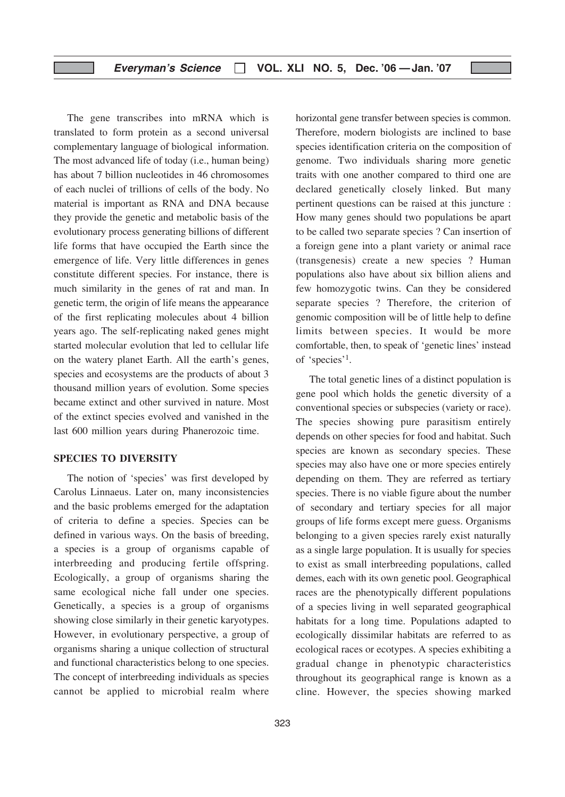## Everyman's Science  $\Box$  VOL. XLI NO. 5, Dec. '06 - Jan. '07

The gene transcribes into mRNA which is translated to form protein as a second universal complementary language of biological information. The most advanced life of today (i.e., human being) has about 7 billion nucleotides in 46 chromosomes of each nuclei of trillions of cells of the body. No material is important as RNA and DNA because they provide the genetic and metabolic basis of the evolutionary process generating billions of different life forms that have occupied the Earth since the emergence of life. Very little differences in genes constitute different species. For instance, there is much similarity in the genes of rat and man. In genetic term, the origin of life means the appearance of the first replicating molecules about 4 billion years ago. The self-replicating naked genes might started molecular evolution that led to cellular life on the watery planet Earth. All the earth's genes, species and ecosystems are the products of about 3 thousand million years of evolution. Some species became extinct and other survived in nature. Most of the extinct species evolved and vanished in the last 600 million years during Phanerozoic time.

## SPECIES TO DIVERSITY

The notion of 'species' was first developed by Carolus Linnaeus. Later on, many inconsistencies and the basic problems emerged for the adaptation of criteria to define a species. Species can be defined in various ways. On the basis of breeding, a species is a group of organisms capable of interbreeding and producing fertile offspring. Ecologically, a group of organisms sharing the same ecological niche fall under one species. Genetically, a species is a group of organisms showing close similarly in their genetic karyotypes. However, in evolutionary perspective, a group of organisms sharing a unique collection of structural and functional characteristics belong to one species. The concept of interbreeding individuals as species cannot be applied to microbial realm where

horizontal gene transfer between species is common. Therefore, modern biologists are inclined to base species identification criteria on the composition of genome. Two individuals sharing more genetic traits with one another compared to third one are declared genetically closely linked. But many pertinent questions can be raised at this juncture : How many genes should two populations be apart to be called two separate species ? Can insertion of a foreign gene into a plant variety or animal race (transgenesis) create a new species ? Human populations also have about six billion aliens and few homozygotic twins. Can they be considered separate species ? Therefore, the criterion of genomic composition will be of little help to define limits between species. It would be more comfortable, then, to speak of 'genetic lines' instead of 'species'1.

The total genetic lines of a distinct population is gene pool which holds the genetic diversity of a conventional species or subspecies (variety or race). The species showing pure parasitism entirely depends on other species for food and habitat. Such species are known as secondary species. These species may also have one or more species entirely depending on them. They are referred as tertiary species. There is no viable figure about the number of secondary and tertiary species for all major groups of life forms except mere guess. Organisms belonging to a given species rarely exist naturally as a single large population. It is usually for species to exist as small interbreeding populations, called demes, each with its own genetic pool. Geographical races are the phenotypically different populations of a species living in well separated geographical habitats for a long time. Populations adapted to ecologically dissimilar habitats are referred to as ecological races or ecotypes. A species exhibiting a gradual change in phenotypic characteristics throughout its geographical range is known as a cline. However, the species showing marked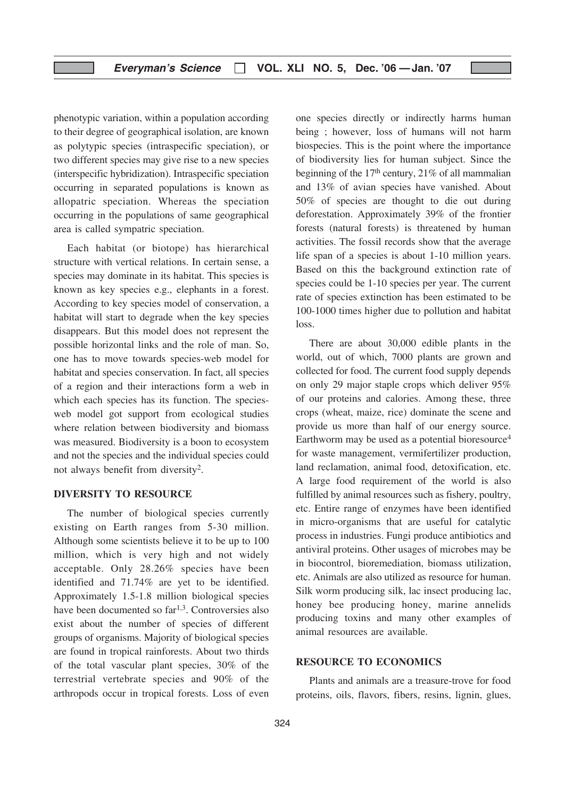phenotypic variation, within a population according to their degree of geographical isolation, are known as polytypic species (intraspecific speciation), or two different species may give rise to a new species (interspecific hybridization). Intraspecific speciation occurring in separated populations is known as allopatric speciation. Whereas the speciation occurring in the populations of same geographical area is called sympatric speciation.

Each habitat (or biotope) has hierarchical structure with vertical relations. In certain sense, a species may dominate in its habitat. This species is known as key species e.g., elephants in a forest. According to key species model of conservation, a habitat will start to degrade when the key species disappears. But this model does not represent the possible horizontal links and the role of man. So, one has to move towards species-web model for habitat and species conservation. In fact, all species of a region and their interactions form a web in which each species has its function. The speciesweb model got support from ecological studies where relation between biodiversity and biomass was measured. Biodiversity is a boon to ecosystem and not the species and the individual species could not always benefit from diversity2.

#### DIVERSITY TO RESOURCE

The number of biological species currently existing on Earth ranges from 5-30 million. Although some scientists believe it to be up to 100 million, which is very high and not widely acceptable. Only 28.26% species have been identified and 71.74% are yet to be identified. Approximately 1.5-1.8 million biological species have been documented so far<sup>1,3</sup>. Controversies also exist about the number of species of different groups of organisms. Majority of biological species are found in tropical rainforests. About two thirds of the total vascular plant species, 30% of the terrestrial vertebrate species and 90% of the arthropods occur in tropical forests. Loss of even one species directly or indirectly harms human being ; however, loss of humans will not harm biospecies. This is the point where the importance of biodiversity lies for human subject. Since the beginning of the  $17<sup>th</sup>$  century,  $21\%$  of all mammalian and 13% of avian species have vanished. About 50% of species are thought to die out during deforestation. Approximately 39% of the frontier forests (natural forests) is threatened by human activities. The fossil records show that the average life span of a species is about 1-10 million years. Based on this the background extinction rate of species could be 1-10 species per year. The current rate of species extinction has been estimated to be 100-1000 times higher due to pollution and habitat loss.

There are about 30,000 edible plants in the world, out of which, 7000 plants are grown and collected for food. The current food supply depends on only 29 major staple crops which deliver 95% of our proteins and calories. Among these, three crops (wheat, maize, rice) dominate the scene and provide us more than half of our energy source. Earthworm may be used as a potential bioresource<sup>4</sup> for waste management, vermifertilizer production, land reclamation, animal food, detoxification, etc. A large food requirement of the world is also fulfilled by animal resources such as fishery, poultry, etc. Entire range of enzymes have been identified in micro-organisms that are useful for catalytic process in industries. Fungi produce antibiotics and antiviral proteins. Other usages of microbes may be in biocontrol, bioremediation, biomass utilization, etc. Animals are also utilized as resource for human. Silk worm producing silk, lac insect producing lac, honey bee producing honey, marine annelids producing toxins and many other examples of animal resources are available.

## RESOURCE TO ECONOMICS

Plants and animals are a treasure-trove for food proteins, oils, flavors, fibers, resins, lignin, glues,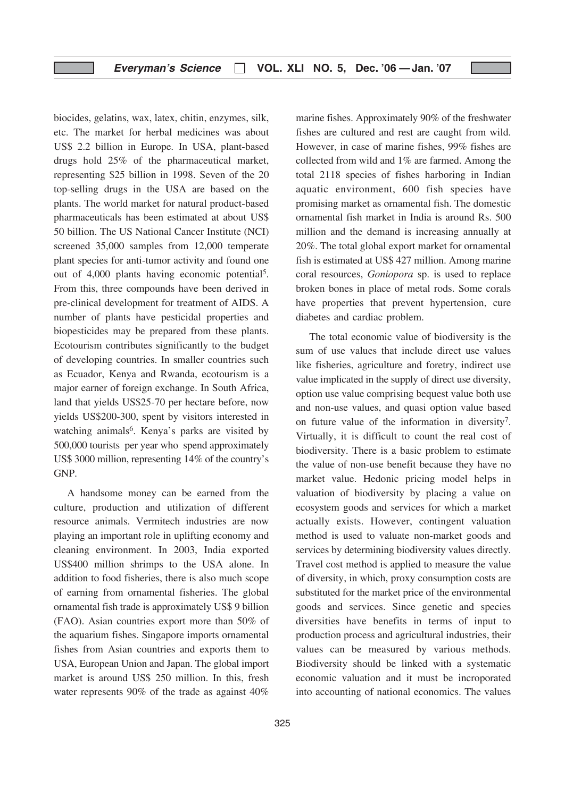biocides, gelatins, wax, latex, chitin, enzymes, silk, etc. The market for herbal medicines was about US\$ 2.2 billion in Europe. In USA, plant-based drugs hold 25% of the pharmaceutical market, representing \$25 billion in 1998. Seven of the 20 top-selling drugs in the USA are based on the plants. The world market for natural product-based pharmaceuticals has been estimated at about US\$ 50 billion. The US National Cancer Institute (NCI) screened 35,000 samples from 12,000 temperate plant species for anti-tumor activity and found one out of 4,000 plants having economic potential5. From this, three compounds have been derived in pre-clinical development for treatment of AIDS. A number of plants have pesticidal properties and biopesticides may be prepared from these plants. Ecotourism contributes significantly to the budget of developing countries. In smaller countries such as Ecuador, Kenya and Rwanda, ecotourism is a major earner of foreign exchange. In South Africa, land that yields US\$25-70 per hectare before, now yields US\$200-300, spent by visitors interested in watching animals<sup>6</sup>. Kenya's parks are visited by 500,000 tourists per year who spend approximately US\$ 3000 million, representing 14% of the country's GNP.

A handsome money can be earned from the culture, production and utilization of different resource animals. Vermitech industries are now playing an important role in uplifting economy and cleaning environment. In 2003, India exported US\$400 million shrimps to the USA alone. In addition to food fisheries, there is also much scope of earning from ornamental fisheries. The global ornamental fish trade is approximately US\$ 9 billion (FAO). Asian countries export more than 50% of the aquarium fishes. Singapore imports ornamental fishes from Asian countries and exports them to USA, European Union and Japan. The global import market is around US\$ 250 million. In this, fresh water represents 90% of the trade as against 40%

However, in case of marine fishes, 99% fishes are collected from wild and 1% are farmed. Among the total 2118 species of fishes harboring in Indian aquatic environment, 600 fish species have promising market as ornamental fish. The domestic ornamental fish market in India is around Rs. 500 million and the demand is increasing annually at 20%. The total global export market for ornamental fish is estimated at US\$ 427 million. Among marine coral resources, Goniopora sp. is used to replace broken bones in place of metal rods. Some corals have properties that prevent hypertension, cure diabetes and cardiac problem. The total economic value of biodiversity is the

marine fishes. Approximately 90% of the freshwater fishes are cultured and rest are caught from wild.

sum of use values that include direct use values like fisheries, agriculture and foretry, indirect use value implicated in the supply of direct use diversity, option use value comprising bequest value both use and non-use values, and quasi option value based on future value of the information in diversity7. Virtually, it is difficult to count the real cost of biodiversity. There is a basic problem to estimate the value of non-use benefit because they have no market value. Hedonic pricing model helps in valuation of biodiversity by placing a value on ecosystem goods and services for which a market actually exists. However, contingent valuation method is used to valuate non-market goods and services by determining biodiversity values directly. Travel cost method is applied to measure the value of diversity, in which, proxy consumption costs are substituted for the market price of the environmental goods and services. Since genetic and species diversities have benefits in terms of input to production process and agricultural industries, their values can be measured by various methods. Biodiversity should be linked with a systematic economic valuation and it must be incroporated into accounting of national economics. The values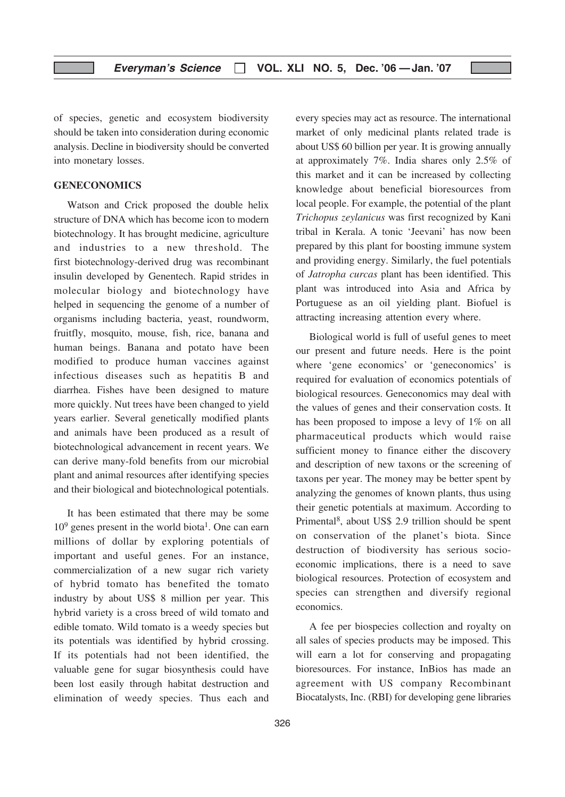of species, genetic and ecosystem biodiversity should be taken into consideration during economic analysis. Decline in biodiversity should be converted into monetary losses.

#### GENECONOMICS

Watson and Crick proposed the double helix structure of DNA which has become icon to modern biotechnology. It has brought medicine, agriculture and industries to a new threshold. The first biotechnology-derived drug was recombinant insulin developed by Genentech. Rapid strides in molecular biology and biotechnology have helped in sequencing the genome of a number of organisms including bacteria, yeast, roundworm, fruitfly, mosquito, mouse, fish, rice, banana and human beings. Banana and potato have been modified to produce human vaccines against infectious diseases such as hepatitis B and diarrhea. Fishes have been designed to mature more quickly. Nut trees have been changed to yield years earlier. Several genetically modified plants and animals have been produced as a result of biotechnological advancement in recent years. We can derive many-fold benefits from our microbial plant and animal resources after identifying species and their biological and biotechnological potentials.

It has been estimated that there may be some  $10<sup>9</sup>$  genes present in the world biota<sup>1</sup>. One can earn millions of dollar by exploring potentials of important and useful genes. For an instance, commercialization of a new sugar rich variety of hybrid tomato has benefited the tomato industry by about US\$ 8 million per year. This hybrid variety is a cross breed of wild tomato and edible tomato. Wild tomato is a weedy species but its potentials was identified by hybrid crossing. If its potentials had not been identified, the valuable gene for sugar biosynthesis could have been lost easily through habitat destruction and elimination of weedy species. Thus each and

every species may act as resource. The international market of only medicinal plants related trade is about US\$ 60 billion per year. It is growing annually at approximately 7%. India shares only 2.5% of this market and it can be increased by collecting knowledge about beneficial bioresources from local people. For example, the potential of the plant Trichopus zeylanicus was first recognized by Kani tribal in Kerala. A tonic 'Jeevani' has now been prepared by this plant for boosting immune system and providing energy. Similarly, the fuel potentials of Jatropha curcas plant has been identified. This plant was introduced into Asia and Africa by Portuguese as an oil yielding plant. Biofuel is attracting increasing attention every where.

Biological world is full of useful genes to meet our present and future needs. Here is the point where 'gene economics' or 'geneconomics' is required for evaluation of economics potentials of biological resources. Geneconomics may deal with the values of genes and their conservation costs. It has been proposed to impose a levy of 1% on all pharmaceutical products which would raise sufficient money to finance either the discovery and description of new taxons or the screening of taxons per year. The money may be better spent by analyzing the genomes of known plants, thus using their genetic potentials at maximum. According to Primental8, about US\$ 2.9 trillion should be spent on conservation of the planet's biota. Since destruction of biodiversity has serious socioeconomic implications, there is a need to save biological resources. Protection of ecosystem and species can strengthen and diversify regional economics.

A fee per biospecies collection and royalty on all sales of species products may be imposed. This will earn a lot for conserving and propagating bioresources. For instance, InBios has made an agreement with US company Recombinant Biocatalysts, Inc. (RBI) for developing gene libraries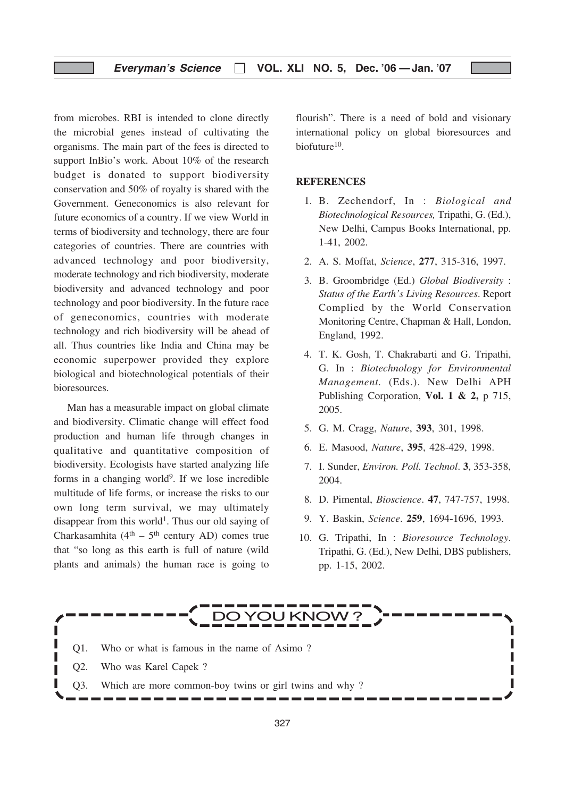## Everyman's Science  $\Box$  VOL. XLI NO. 5, Dec. '06 - Jan. '07

from microbes. RBI is intended to clone directly the microbial genes instead of cultivating the organisms. The main part of the fees is directed to support InBio's work. About 10% of the research budget is donated to support biodiversity conservation and 50% of royalty is shared with the Government. Geneconomics is also relevant for future economics of a country. If we view World in terms of biodiversity and technology, there are four categories of countries. There are countries with advanced technology and poor biodiversity, moderate technology and rich biodiversity, moderate biodiversity and advanced technology and poor technology and poor biodiversity. In the future race of geneconomics, countries with moderate technology and rich biodiversity will be ahead of all. Thus countries like India and China may be economic superpower provided they explore biological and biotechnological potentials of their bioresources.

Man has a measurable impact on global climate and biodiversity. Climatic change will effect food production and human life through changes in qualitative and quantitative composition of biodiversity. Ecologists have started analyzing life forms in a changing world $9$ . If we lose incredible multitude of life forms, or increase the risks to our own long term survival, we may ultimately disappear from this world<sup>1</sup>. Thus our old saying of Charkasamhita ( $4<sup>th</sup> - 5<sup>th</sup>$  century AD) comes true that "so long as this earth is full of nature (wild plants and animals) the human race is going to

flourish". There is a need of bold and visionary international policy on global bioresources and biofuture10.

#### **REFERENCES**

- 1. B. Zechendorf, In : Biological and Biotechnological Resources, Tripathi, G. (Ed.), New Delhi, Campus Books International, pp. 1-41, 2002.
- 2. A. S. Moffat, Science, 277, 315-316, 1997.
- 3. B. Groombridge (Ed.) Global Biodiversity : Status of the Earth's Living Resources. Report Complied by the World Conservation Monitoring Centre, Chapman & Hall, London, England, 1992.
- 4. T. K. Gosh, T. Chakrabarti and G. Tripathi, G. In : Biotechnology for Environmental Management. (Eds.). New Delhi APH Publishing Corporation, Vol. 1 & 2, p 715, 2005.
- 5. G. M. Cragg, Nature, 393, 301, 1998.
- 6. E. Masood, Nature, 395, 428-429, 1998.
- 7. I. Sunder, Environ. Poll. Technol. 3, 353-358, 2004.
- 8. D. Pimental, Bioscience. 47, 747-757, 1998.
- 9. Y. Baskin, Science. 259, 1694-1696, 1993.
- 10. G. Tripathi, In : Bioresource Technology. Tripathi, G. (Ed.), New Delhi, DBS publishers, pp. 1-15, 2002.

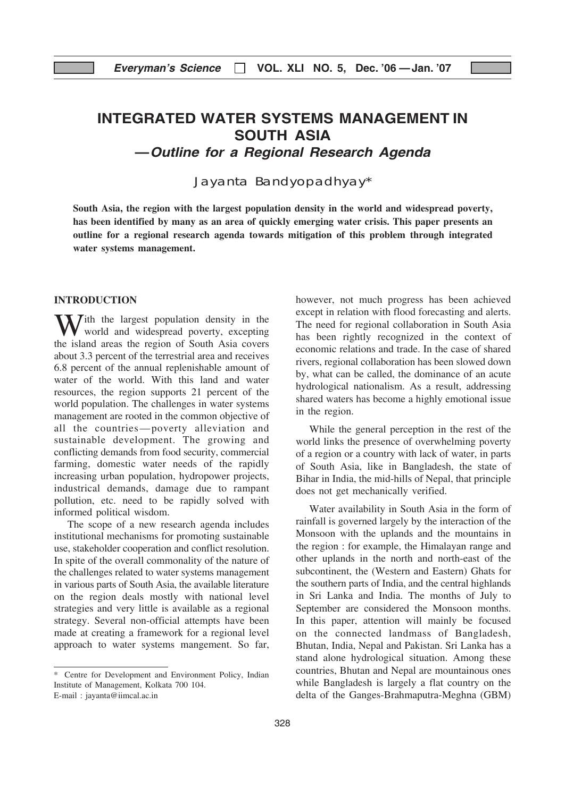# INTEGRATED WATER SYSTEMS MANAGEMENT IN SOUTH ASIA

—Outline for a Regional Research Agenda

Jayanta Bandyopadhyay\*

South Asia, the region with the largest population density in the world and widespread poverty, has been identified by many as an area of quickly emerging water crisis. This paper presents an outline for a regional research agenda towards mitigation of this problem through integrated water systems management.

#### INTRODUCTION

 $\overline{I}$ ith the largest population density in the world and widespread poverty, excepting the island areas the region of South Asia covers about 3.3 percent of the terrestrial area and receives 6.8 percent of the annual replenishable amount of water of the world. With this land and water resources, the region supports 21 percent of the world population. The challenges in water systems management are rooted in the common objective of all the countries—poverty alleviation and sustainable development. The growing and conflicting demands from food security, commercial farming, domestic water needs of the rapidly increasing urban population, hydropower projects, industrical demands, damage due to rampant pollution, etc. need to be rapidly solved with informed political wisdom.

The scope of a new research agenda includes institutional mechanisms for promoting sustainable use, stakeholder cooperation and conflict resolution. In spite of the overall commonality of the nature of the challenges related to water systems management in various parts of South Asia, the available literature on the region deals mostly with national level strategies and very little is available as a regional strategy. Several non-official attempts have been made at creating a framework for a regional level approach to water systems mangement. So far, however, not much progress has been achieved except in relation with flood forecasting and alerts. The need for regional collaboration in South Asia has been rightly recognized in the context of economic relations and trade. In the case of shared rivers, regional collaboration has been slowed down by, what can be called, the dominance of an acute hydrological nationalism. As a result, addressing shared waters has become a highly emotional issue in the region.

While the general perception in the rest of the world links the presence of overwhelming poverty of a region or a country with lack of water, in parts of South Asia, like in Bangladesh, the state of Bihar in India, the mid-hills of Nepal, that principle does not get mechanically verified.

Water availability in South Asia in the form of rainfall is governed largely by the interaction of the Monsoon with the uplands and the mountains in the region : for example, the Himalayan range and other uplands in the north and north-east of the subcontinent, the (Western and Eastern) Ghats for the southern parts of India, and the central highlands in Sri Lanka and India. The months of July to September are considered the Monsoon months. In this paper, attention will mainly be focused on the connected landmass of Bangladesh, Bhutan, India, Nepal and Pakistan. Sri Lanka has a stand alone hydrological situation. Among these countries, Bhutan and Nepal are mountainous ones while Bangladesh is largely a flat country on the delta of the Ganges-Brahmaputra-Meghna (GBM)

<sup>\*</sup> Centre for Development and Environment Policy, Indian Institute of Management, Kolkata 700 104. E-mail : jayanta@iimcal.ac.in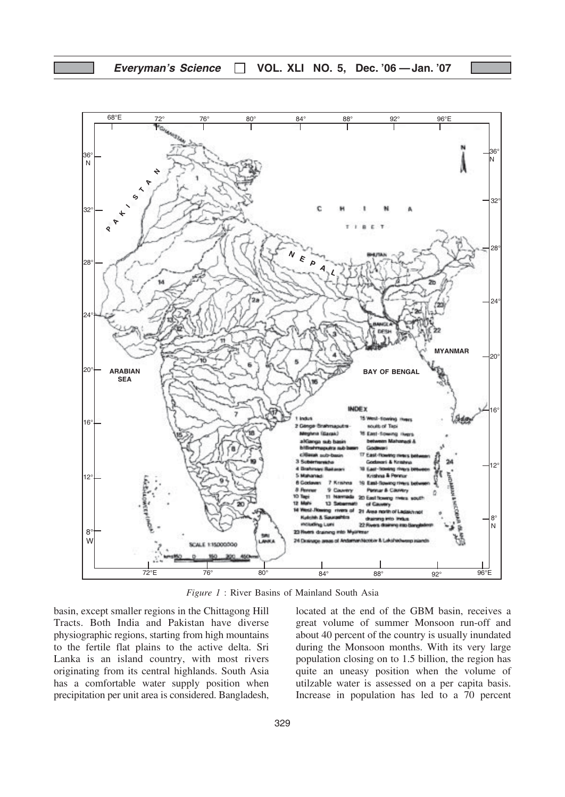

Figure 1 : River Basins of Mainland South Asia

basin, except smaller regions in the Chittagong Hill Tracts. Both India and Pakistan have diverse physiographic regions, starting from high mountains to the fertile flat plains to the active delta. Sri Lanka is an island country, with most rivers originating from its central highlands. South Asia has a comfortable water supply position when precipitation per unit area is considered. Bangladesh, located at the end of the GBM basin, receives a great volume of summer Monsoon run-off and about 40 percent of the country is usually inundated during the Monsoon months. With its very large population closing on to 1.5 billion, the region has quite an uneasy position when the volume of utilzable water is assessed on a per capita basis. Increase in population has led to a 70 percent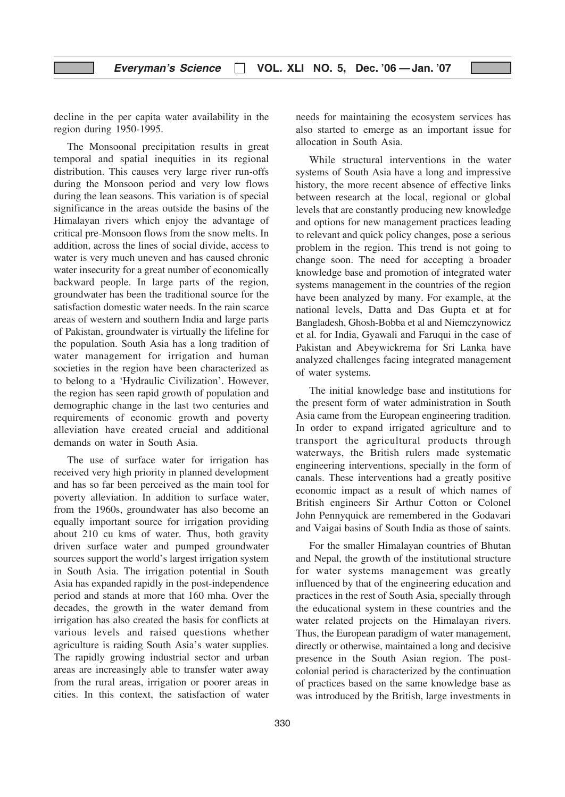decline in the per capita water availability in the region during 1950-1995.

The Monsoonal precipitation results in great temporal and spatial inequities in its regional distribution. This causes very large river run-offs during the Monsoon period and very low flows during the lean seasons. This variation is of special significance in the areas outside the basins of the Himalayan rivers which enjoy the advantage of critical pre-Monsoon flows from the snow melts. In addition, across the lines of social divide, access to water is very much uneven and has caused chronic water insecurity for a great number of economically backward people. In large parts of the region, groundwater has been the traditional source for the satisfaction domestic water needs. In the rain scarce areas of western and southern India and large parts of Pakistan, groundwater is virtually the lifeline for the population. South Asia has a long tradition of water management for irrigation and human societies in the region have been characterized as to belong to a 'Hydraulic Civilization'. However, the region has seen rapid growth of population and demographic change in the last two centuries and requirements of economic growth and poverty alleviation have created crucial and additional demands on water in South Asia.

The use of surface water for irrigation has received very high priority in planned development and has so far been perceived as the main tool for poverty alleviation. In addition to surface water, from the 1960s, groundwater has also become an equally important source for irrigation providing about 210 cu kms of water. Thus, both gravity driven surface water and pumped groundwater sources support the world's largest irrigation system in South Asia. The irrigation potential in South Asia has expanded rapidly in the post-independence period and stands at more that 160 mha. Over the decades, the growth in the water demand from irrigation has also created the basis for conflicts at various levels and raised questions whether agriculture is raiding South Asia's water supplies. The rapidly growing industrial sector and urban areas are increasingly able to transfer water away from the rural areas, irrigation or poorer areas in cities. In this context, the satisfaction of water needs for maintaining the ecosystem services has also started to emerge as an important issue for allocation in South Asia.

While structural interventions in the water systems of South Asia have a long and impressive history, the more recent absence of effective links between research at the local, regional or global levels that are constantly producing new knowledge and options for new management practices leading to relevant and quick policy changes, pose a serious problem in the region. This trend is not going to change soon. The need for accepting a broader knowledge base and promotion of integrated water systems management in the countries of the region have been analyzed by many. For example, at the national levels, Datta and Das Gupta et at for Bangladesh, Ghosh-Bobba et al and Niemczynowicz et al. for India, Gyawali and Faruqui in the case of Pakistan and Abeywickrema for Sri Lanka have analyzed challenges facing integrated management of water systems.

The initial knowledge base and institutions for the present form of water administration in South Asia came from the European engineering tradition. In order to expand irrigated agriculture and to transport the agricultural products through waterways, the British rulers made systematic engineering interventions, specially in the form of canals. These interventions had a greatly positive economic impact as a result of which names of British engineers Sir Arthur Cotton or Colonel John Pennyquick are remembered in the Godavari and Vaigai basins of South India as those of saints.

For the smaller Himalayan countries of Bhutan and Nepal, the growth of the institutional structure for water systems management was greatly influenced by that of the engineering education and practices in the rest of South Asia, specially through the educational system in these countries and the water related projects on the Himalayan rivers. Thus, the European paradigm of water management, directly or otherwise, maintained a long and decisive presence in the South Asian region. The postcolonial period is characterized by the continuation of practices based on the same knowledge base as was introduced by the British, large investments in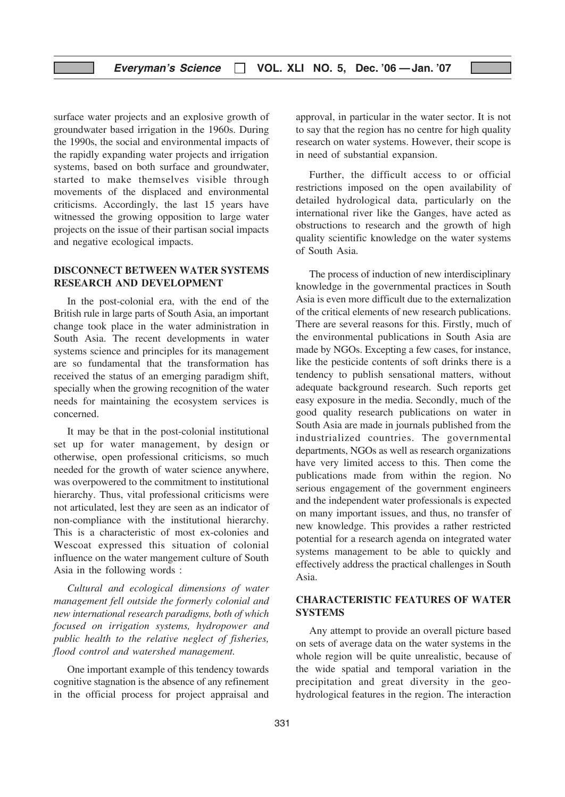## Everyman's Science  $\Box$  VOL. XLI NO. 5, Dec. '06 - Jan. '07

surface water projects and an explosive growth of groundwater based irrigation in the 1960s. During the 1990s, the social and environmental impacts of the rapidly expanding water projects and irrigation systems, based on both surface and groundwater, started to make themselves visible through movements of the displaced and environmental criticisms. Accordingly, the last 15 years have witnessed the growing opposition to large water projects on the issue of their partisan social impacts and negative ecological impacts.

## DISCONNECT BETWEEN WATER SYSTEMS RESEARCH AND DEVELOPMENT

In the post-colonial era, with the end of the British rule in large parts of South Asia, an important change took place in the water administration in South Asia. The recent developments in water systems science and principles for its management are so fundamental that the transformation has received the status of an emerging paradigm shift, specially when the growing recognition of the water needs for maintaining the ecosystem services is concerned.

It may be that in the post-colonial institutional set up for water management, by design or otherwise, open professional criticisms, so much needed for the growth of water science anywhere, was overpowered to the commitment to institutional hierarchy. Thus, vital professional criticisms were not articulated, lest they are seen as an indicator of non-compliance with the institutional hierarchy. This is a characteristic of most ex-colonies and Wescoat expressed this situation of colonial influence on the water mangement culture of South Asia in the following words :

Cultural and ecological dimensions of water management fell outside the formerly colonial and new international research paradigms, both of which focused on irrigation systems, hydropower and public health to the relative neglect of fisheries, flood control and watershed management.

One important example of this tendency towards cognitive stagnation is the absence of any refinement in the official process for project appraisal and approval, in particular in the water sector. It is not to say that the region has no centre for high quality research on water systems. However, their scope is in need of substantial expansion.

Further, the difficult access to or official restrictions imposed on the open availability of detailed hydrological data, particularly on the international river like the Ganges, have acted as obstructions to research and the growth of high quality scientific knowledge on the water systems of South Asia.

The process of induction of new interdisciplinary knowledge in the governmental practices in South Asia is even more difficult due to the externalization of the critical elements of new research publications. There are several reasons for this. Firstly, much of the environmental publications in South Asia are made by NGOs. Excepting a few cases, for instance, like the pesticide contents of soft drinks there is a tendency to publish sensational matters, without adequate background research. Such reports get easy exposure in the media. Secondly, much of the good quality research publications on water in South Asia are made in journals published from the industrialized countries. The governmental departments, NGOs as well as research organizations have very limited access to this. Then come the publications made from within the region. No serious engagement of the government engineers and the independent water professionals is expected on many important issues, and thus, no transfer of new knowledge. This provides a rather restricted potential for a research agenda on integrated water systems management to be able to quickly and effectively address the practical challenges in South Asia.

## CHARACTERISTIC FEATURES OF WATER SYSTEMS

Any attempt to provide an overall picture based on sets of average data on the water systems in the whole region will be quite unrealistic, because of the wide spatial and temporal variation in the precipitation and great diversity in the geohydrological features in the region. The interaction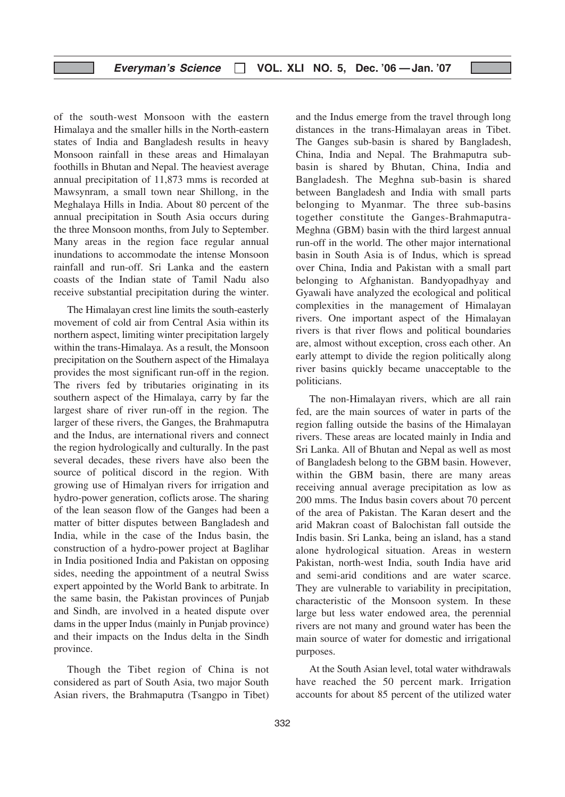of the south-west Monsoon with the eastern Himalaya and the smaller hills in the North-eastern states of India and Bangladesh results in heavy Monsoon rainfall in these areas and Himalayan foothills in Bhutan and Nepal. The heaviest average annual precipitation of 11,873 mms is recorded at Mawsynram, a small town near Shillong, in the Meghalaya Hills in India. About 80 percent of the annual precipitation in South Asia occurs during the three Monsoon months, from July to September. Many areas in the region face regular annual inundations to accommodate the intense Monsoon rainfall and run-off. Sri Lanka and the eastern coasts of the Indian state of Tamil Nadu also receive substantial precipitation during the winter.

The Himalayan crest line limits the south-easterly movement of cold air from Central Asia within its northern aspect, limiting winter precipitation largely within the trans-Himalaya. As a result, the Monsoon precipitation on the Southern aspect of the Himalaya provides the most significant run-off in the region. The rivers fed by tributaries originating in its southern aspect of the Himalaya, carry by far the largest share of river run-off in the region. The larger of these rivers, the Ganges, the Brahmaputra and the Indus, are international rivers and connect the region hydrologically and culturally. In the past several decades, these rivers have also been the source of political discord in the region. With growing use of Himalyan rivers for irrigation and hydro-power generation, coflicts arose. The sharing of the lean season flow of the Ganges had been a matter of bitter disputes between Bangladesh and India, while in the case of the Indus basin, the construction of a hydro-power project at Baglihar in India positioned India and Pakistan on opposing sides, needing the appointment of a neutral Swiss expert appointed by the World Bank to arbitrate. In the same basin, the Pakistan provinces of Punjab and Sindh, are involved in a heated dispute over dams in the upper Indus (mainly in Punjab province) and their impacts on the Indus delta in the Sindh province.

Though the Tibet region of China is not considered as part of South Asia, two major South Asian rivers, the Brahmaputra (Tsangpo in Tibet) and the Indus emerge from the travel through long distances in the trans-Himalayan areas in Tibet. The Ganges sub-basin is shared by Bangladesh, China, India and Nepal. The Brahmaputra subbasin is shared by Bhutan, China, India and Bangladesh. The Meghna sub-basin is shared between Bangladesh and India with small parts belonging to Myanmar. The three sub-basins together constitute the Ganges-Brahmaputra-Meghna (GBM) basin with the third largest annual run-off in the world. The other major international basin in South Asia is of Indus, which is spread over China, India and Pakistan with a small part belonging to Afghanistan. Bandyopadhyay and Gyawali have analyzed the ecological and political complexities in the management of Himalayan rivers. One important aspect of the Himalayan rivers is that river flows and political boundaries are, almost without exception, cross each other. An early attempt to divide the region politically along river basins quickly became unacceptable to the politicians.

The non-Himalayan rivers, which are all rain fed, are the main sources of water in parts of the region falling outside the basins of the Himalayan rivers. These areas are located mainly in India and Sri Lanka. All of Bhutan and Nepal as well as most of Bangladesh belong to the GBM basin. However, within the GBM basin, there are many areas receiving annual average precipitation as low as 200 mms. The Indus basin covers about 70 percent of the area of Pakistan. The Karan desert and the arid Makran coast of Balochistan fall outside the Indis basin. Sri Lanka, being an island, has a stand alone hydrological situation. Areas in western Pakistan, north-west India, south India have arid and semi-arid conditions and are water scarce. They are vulnerable to variability in precipitation, characteristic of the Monsoon system. In these large but less water endowed area, the perennial rivers are not many and ground water has been the main source of water for domestic and irrigational purposes.

At the South Asian level, total water withdrawals have reached the 50 percent mark. Irrigation accounts for about 85 percent of the utilized water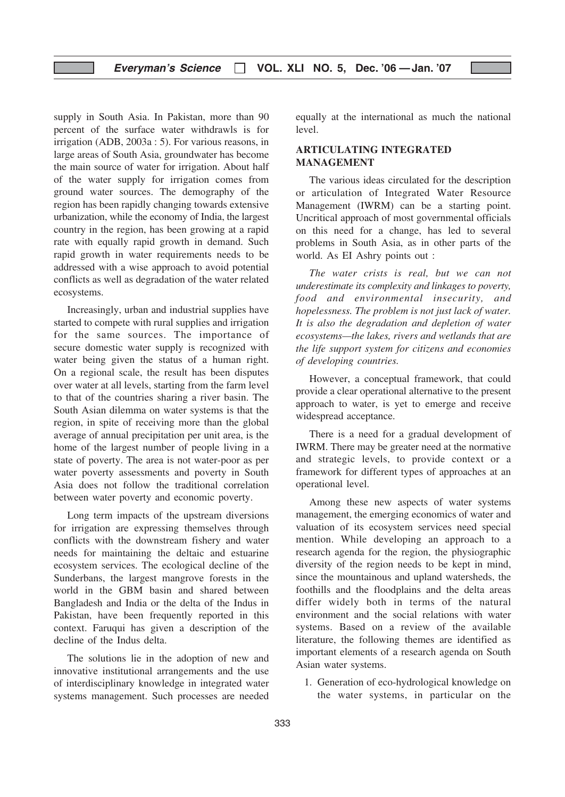## Everyman's Science  $\Box$  VOL. XLI NO. 5, Dec. '06 - Jan. '07

supply in South Asia. In Pakistan, more than 90 percent of the surface water withdrawls is for irrigation (ADB, 2003a : 5). For various reasons, in large areas of South Asia, groundwater has become the main source of water for irrigation. About half of the water supply for irrigation comes from ground water sources. The demography of the region has been rapidly changing towards extensive urbanization, while the economy of India, the largest country in the region, has been growing at a rapid rate with equally rapid growth in demand. Such rapid growth in water requirements needs to be addressed with a wise approach to avoid potential conflicts as well as degradation of the water related ecosystems.

Increasingly, urban and industrial supplies have started to compete with rural supplies and irrigation for the same sources. The importance of secure domestic water supply is recognized with water being given the status of a human right. On a regional scale, the result has been disputes over water at all levels, starting from the farm level to that of the countries sharing a river basin. The South Asian dilemma on water systems is that the region, in spite of receiving more than the global average of annual precipitation per unit area, is the home of the largest number of people living in a state of poverty. The area is not water-poor as per water poverty assessments and poverty in South Asia does not follow the traditional correlation between water poverty and economic poverty.

Long term impacts of the upstream diversions for irrigation are expressing themselves through conflicts with the downstream fishery and water needs for maintaining the deltaic and estuarine ecosystem services. The ecological decline of the Sunderbans, the largest mangrove forests in the world in the GBM basin and shared between Bangladesh and India or the delta of the Indus in Pakistan, have been frequently reported in this context. Faruqui has given a description of the decline of the Indus delta.

The solutions lie in the adoption of new and innovative institutional arrangements and the use of interdisciplinary knowledge in integrated water systems management. Such processes are needed

equally at the international as much the national level.

## ARTICULATING INTEGRATED MANAGEMENT

The various ideas circulated for the description or articulation of Integrated Water Resource Management (IWRM) can be a starting point. Uncritical approach of most governmental officials on this need for a change, has led to several problems in South Asia, as in other parts of the world. As EI Ashry points out :

The water crists is real, but we can not underestimate its complexity and linkages to poverty, food and environmental insecurity, and hopelessness. The problem is not just lack of water. It is also the degradation and depletion of water ecosystems—the lakes, rivers and wetlands that are the life support system for citizens and economies of developing countries.

However, a conceptual framework, that could provide a clear operational alternative to the present approach to water, is yet to emerge and receive widespread acceptance.

There is a need for a gradual development of IWRM. There may be greater need at the normative and strategic levels, to provide context or a framework for different types of approaches at an operational level.

Among these new aspects of water systems management, the emerging economics of water and valuation of its ecosystem services need special mention. While developing an approach to a research agenda for the region, the physiographic diversity of the region needs to be kept in mind, since the mountainous and upland watersheds, the foothills and the floodplains and the delta areas differ widely both in terms of the natural environment and the social relations with water systems. Based on a review of the available literature, the following themes are identified as important elements of a research agenda on South Asian water systems.

1. Generation of eco-hydrological knowledge on the water systems, in particular on the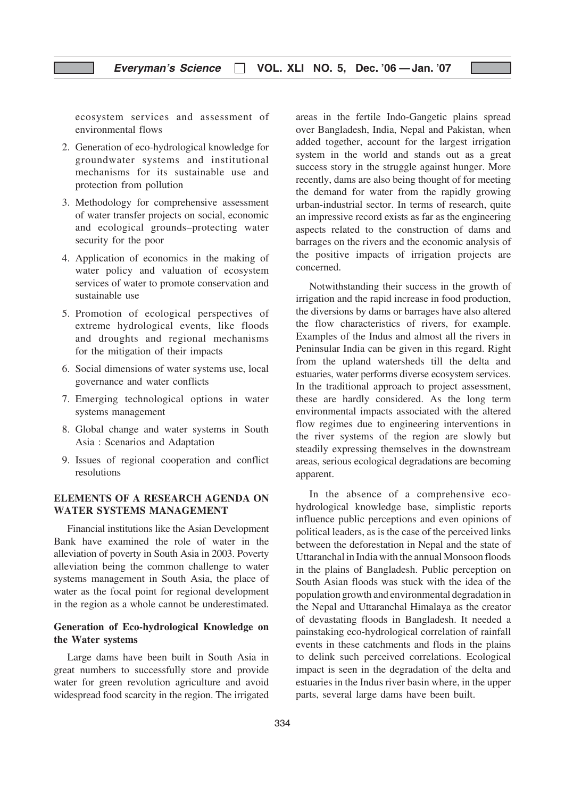ecosystem services and assessment of environmental flows

- 2. Generation of eco-hydrological knowledge for groundwater systems and institutional mechanisms for its sustainable use and protection from pollution
- 3. Methodology for comprehensive assessment of water transfer projects on social, economic and ecological grounds–protecting water security for the poor
- 4. Application of economics in the making of water policy and valuation of ecosystem services of water to promote conservation and sustainable use
- 5. Promotion of ecological perspectives of extreme hydrological events, like floods and droughts and regional mechanisms for the mitigation of their impacts
- 6. Social dimensions of water systems use, local governance and water conflicts
- 7. Emerging technological options in water systems management
- 8. Global change and water systems in South Asia : Scenarios and Adaptation
- 9. Issues of regional cooperation and conflict resolutions

## ELEMENTS OF A RESEARCH AGENDA ON WATER SYSTEMS MANAGEMENT

Financial institutions like the Asian Development Bank have examined the role of water in the alleviation of poverty in South Asia in 2003. Poverty alleviation being the common challenge to water systems management in South Asia, the place of water as the focal point for regional development in the region as a whole cannot be underestimated.

## Generation of Eco-hydrological Knowledge on the Water systems

Large dams have been built in South Asia in great numbers to successfully store and provide water for green revolution agriculture and avoid widespread food scarcity in the region. The irrigated

areas in the fertile Indo-Gangetic plains spread over Bangladesh, India, Nepal and Pakistan, when added together, account for the largest irrigation system in the world and stands out as a great success story in the struggle against hunger. More recently, dams are also being thought of for meeting the demand for water from the rapidly growing urban-industrial sector. In terms of research, quite an impressive record exists as far as the engineering aspects related to the construction of dams and barrages on the rivers and the economic analysis of the positive impacts of irrigation projects are concerned.

Notwithstanding their success in the growth of irrigation and the rapid increase in food production, the diversions by dams or barrages have also altered the flow characteristics of rivers, for example. Examples of the Indus and almost all the rivers in Peninsular India can be given in this regard. Right from the upland watersheds till the delta and estuaries, water performs diverse ecosystem services. In the traditional approach to project assessment, these are hardly considered. As the long term environmental impacts associated with the altered flow regimes due to engineering interventions in the river systems of the region are slowly but steadily expressing themselves in the downstream areas, serious ecological degradations are becoming apparent.

In the absence of a comprehensive ecohydrological knowledge base, simplistic reports influence public perceptions and even opinions of political leaders, as is the case of the perceived links between the deforestation in Nepal and the state of Uttaranchal in India with the annual Monsoon floods in the plains of Bangladesh. Public perception on South Asian floods was stuck with the idea of the population growth and environmental degradation in the Nepal and Uttaranchal Himalaya as the creator of devastating floods in Bangladesh. It needed a painstaking eco-hydrological correlation of rainfall events in these catchments and flods in the plains to delink such perceived correlations. Ecological impact is seen in the degradation of the delta and estuaries in the Indus river basin where, in the upper parts, several large dams have been built.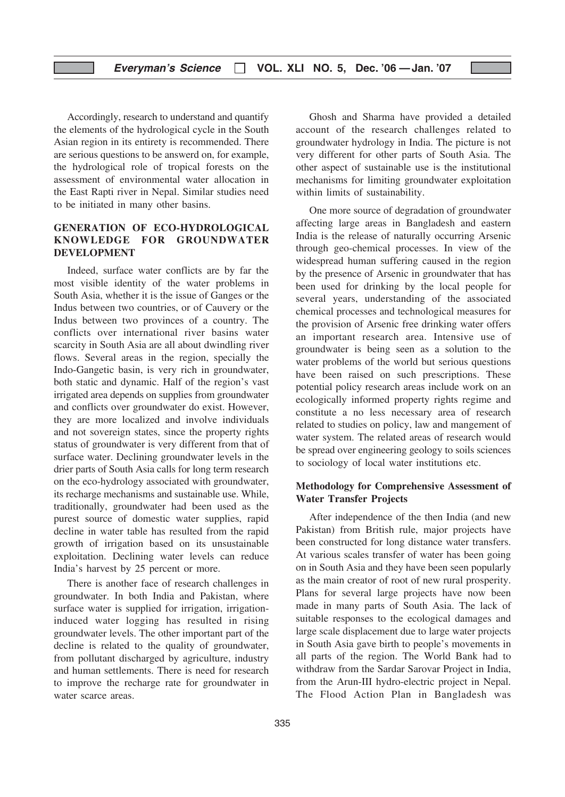Accordingly, research to understand and quantify the elements of the hydrological cycle in the South Asian region in its entirety is recommended. There are serious questions to be answerd on, for example, the hydrological role of tropical forests on the assessment of environmental water allocation in the East Rapti river in Nepal. Similar studies need to be initiated in many other basins.

## GENERATION OF ECO-HYDROLOGICAL KNOWLEDGE FOR GROUNDWATER DEVELOPMENT

Indeed, surface water conflicts are by far the most visible identity of the water problems in South Asia, whether it is the issue of Ganges or the Indus between two countries, or of Cauvery or the Indus between two provinces of a country. The conflicts over international river basins water scarcity in South Asia are all about dwindling river flows. Several areas in the region, specially the Indo-Gangetic basin, is very rich in groundwater, both static and dynamic. Half of the region's vast irrigated area depends on supplies from groundwater and conflicts over groundwater do exist. However, they are more localized and involve individuals and not sovereign states, since the property rights status of groundwater is very different from that of surface water. Declining groundwater levels in the drier parts of South Asia calls for long term research on the eco-hydrology associated with groundwater, its recharge mechanisms and sustainable use. While, traditionally, groundwater had been used as the purest source of domestic water supplies, rapid decline in water table has resulted from the rapid growth of irrigation based on its unsustainable exploitation. Declining water levels can reduce India's harvest by 25 percent or more.

There is another face of research challenges in groundwater. In both India and Pakistan, where surface water is supplied for irrigation, irrigationinduced water logging has resulted in rising groundwater levels. The other important part of the decline is related to the quality of groundwater, from pollutant discharged by agriculture, industry and human settlements. There is need for research to improve the recharge rate for groundwater in water scarce areas.

Ghosh and Sharma have provided a detailed account of the research challenges related to groundwater hydrology in India. The picture is not very different for other parts of South Asia. The other aspect of sustainable use is the institutional mechanisms for limiting groundwater exploitation within limits of sustainability.

One more source of degradation of groundwater affecting large areas in Bangladesh and eastern India is the release of naturally occurring Arsenic through geo-chemical processes. In view of the widespread human suffering caused in the region by the presence of Arsenic in groundwater that has been used for drinking by the local people for several years, understanding of the associated chemical processes and technological measures for the provision of Arsenic free drinking water offers an important research area. Intensive use of groundwater is being seen as a solution to the water problems of the world but serious questions have been raised on such prescriptions. These potential policy research areas include work on an ecologically informed property rights regime and constitute a no less necessary area of research related to studies on policy, law and mangement of water system. The related areas of research would be spread over engineering geology to soils sciences to sociology of local water institutions etc.

## Methodology for Comprehensive Assessment of Water Transfer Projects

After independence of the then India (and new Pakistan) from British rule, major projects have been constructed for long distance water transfers. At various scales transfer of water has been going on in South Asia and they have been seen popularly as the main creator of root of new rural prosperity. Plans for several large projects have now been made in many parts of South Asia. The lack of suitable responses to the ecological damages and large scale displacement due to large water projects in South Asia gave birth to people's movements in all parts of the region. The World Bank had to withdraw from the Sardar Sarovar Project in India, from the Arun-III hydro-electric project in Nepal. The Flood Action Plan in Bangladesh was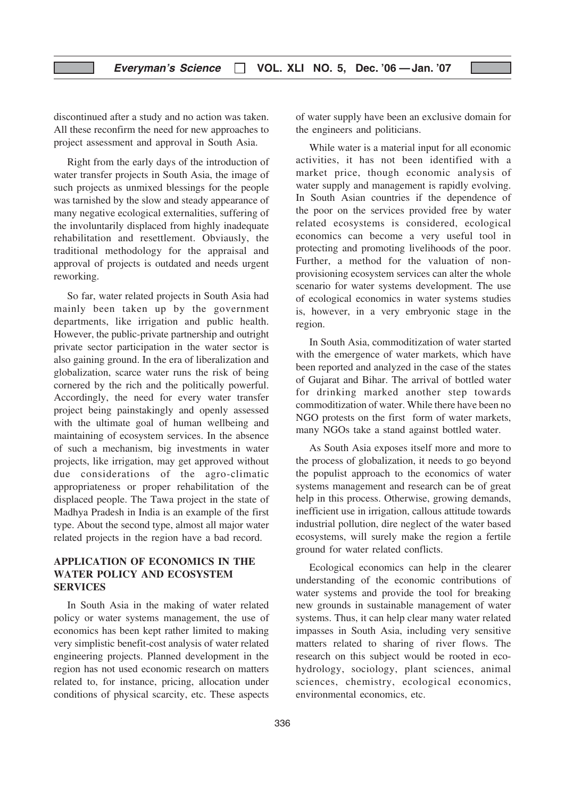discontinued after a study and no action was taken. All these reconfirm the need for new approaches to project assessment and approval in South Asia.

Right from the early days of the introduction of water transfer projects in South Asia, the image of such projects as unmixed blessings for the people was tarnished by the slow and steady appearance of many negative ecological externalities, suffering of the involuntarily displaced from highly inadequate rehabilitation and resettlement. Obviausly, the traditional methodology for the appraisal and approval of projects is outdated and needs urgent reworking.

So far, water related projects in South Asia had mainly been taken up by the government departments, like irrigation and public health. However, the public-private partnership and outright private sector participation in the water sector is also gaining ground. In the era of liberalization and globalization, scarce water runs the risk of being cornered by the rich and the politically powerful. Accordingly, the need for every water transfer project being painstakingly and openly assessed with the ultimate goal of human wellbeing and maintaining of ecosystem services. In the absence of such a mechanism, big investments in water projects, like irrigation, may get approved without due considerations of the agro-climatic appropriateness or proper rehabilitation of the displaced people. The Tawa project in the state of Madhya Pradesh in India is an example of the first type. About the second type, almost all major water related projects in the region have a bad record.

## APPLICATION OF ECONOMICS IN THE WATER POLICY AND ECOSYSTEM **SERVICES**

In South Asia in the making of water related policy or water systems management, the use of economics has been kept rather limited to making very simplistic benefit-cost analysis of water related engineering projects. Planned development in the region has not used economic research on matters related to, for instance, pricing, allocation under conditions of physical scarcity, etc. These aspects

of water supply have been an exclusive domain for the engineers and politicians.

While water is a material input for all economic activities, it has not been identified with a market price, though economic analysis of water supply and management is rapidly evolving. In South Asian countries if the dependence of the poor on the services provided free by water related ecosystems is considered, ecological economics can become a very useful tool in protecting and promoting livelihoods of the poor. Further, a method for the valuation of nonprovisioning ecosystem services can alter the whole scenario for water systems development. The use of ecological economics in water systems studies is, however, in a very embryonic stage in the region.

In South Asia, commoditization of water started with the emergence of water markets, which have been reported and analyzed in the case of the states of Gujarat and Bihar. The arrival of bottled water for drinking marked another step towards commoditization of water. While there have been no NGO protests on the first form of water markets, many NGOs take a stand against bottled water.

As South Asia exposes itself more and more to the process of globalization, it needs to go beyond the populist approach to the economics of water systems management and research can be of great help in this process. Otherwise, growing demands, inefficient use in irrigation, callous attitude towards industrial pollution, dire neglect of the water based ecosystems, will surely make the region a fertile ground for water related conflicts.

Ecological economics can help in the clearer understanding of the economic contributions of water systems and provide the tool for breaking new grounds in sustainable management of water systems. Thus, it can help clear many water related impasses in South Asia, including very sensitive matters related to sharing of river flows. The research on this subject would be rooted in ecohydrology, sociology, plant sciences, animal sciences, chemistry, ecological economics, environmental economics, etc.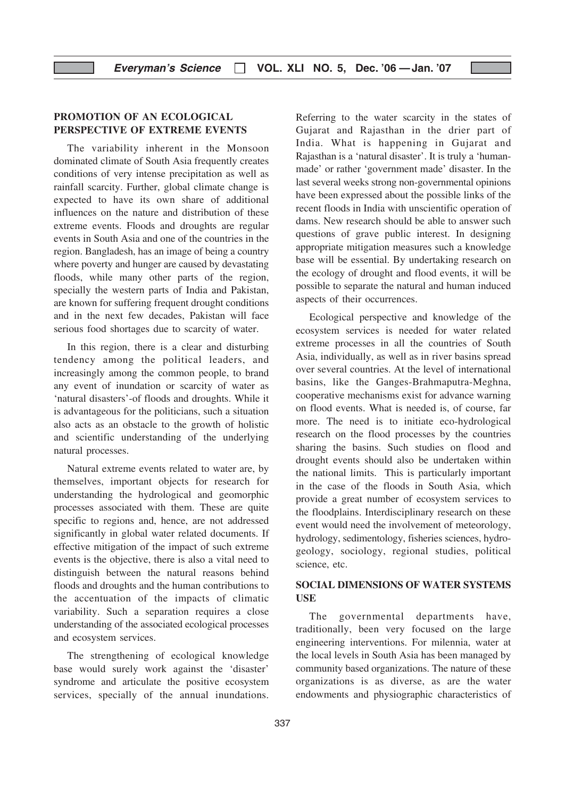## PROMOTION OF AN ECOLOGICAL PERSPECTIVE OF EXTREME EVENTS

The variability inherent in the Monsoon dominated climate of South Asia frequently creates conditions of very intense precipitation as well as rainfall scarcity. Further, global climate change is expected to have its own share of additional influences on the nature and distribution of these extreme events. Floods and droughts are regular events in South Asia and one of the countries in the region. Bangladesh, has an image of being a country where poverty and hunger are caused by devastating floods, while many other parts of the region, specially the western parts of India and Pakistan, are known for suffering frequent drought conditions and in the next few decades, Pakistan will face serious food shortages due to scarcity of water.

In this region, there is a clear and disturbing tendency among the political leaders, and increasingly among the common people, to brand any event of inundation or scarcity of water as 'natural disasters'-of floods and droughts. While it is advantageous for the politicians, such a situation also acts as an obstacle to the growth of holistic and scientific understanding of the underlying natural processes.

Natural extreme events related to water are, by themselves, important objects for research for understanding the hydrological and geomorphic processes associated with them. These are quite specific to regions and, hence, are not addressed significantly in global water related documents. If effective mitigation of the impact of such extreme events is the objective, there is also a vital need to distinguish between the natural reasons behind floods and droughts and the human contributions to the accentuation of the impacts of climatic variability. Such a separation requires a close understanding of the associated ecological processes and ecosystem services.

The strengthening of ecological knowledge base would surely work against the 'disaster' syndrome and articulate the positive ecosystem services, specially of the annual inundations.

Referring to the water scarcity in the states of Gujarat and Rajasthan in the drier part of India. What is happening in Gujarat and Rajasthan is a 'natural disaster'. It is truly a 'humanmade' or rather 'government made' disaster. In the last several weeks strong non-governmental opinions have been expressed about the possible links of the recent floods in India with unscientific operation of dams. New research should be able to answer such questions of grave public interest. In designing appropriate mitigation measures such a knowledge base will be essential. By undertaking research on the ecology of drought and flood events, it will be possible to separate the natural and human induced aspects of their occurrences.

Ecological perspective and knowledge of the ecosystem services is needed for water related extreme processes in all the countries of South Asia, individually, as well as in river basins spread over several countries. At the level of international basins, like the Ganges-Brahmaputra-Meghna, cooperative mechanisms exist for advance warning on flood events. What is needed is, of course, far more. The need is to initiate eco-hydrological research on the flood processes by the countries sharing the basins. Such studies on flood and drought events should also be undertaken within the national limits. This is particularly important in the case of the floods in South Asia, which provide a great number of ecosystem services to the floodplains. Interdisciplinary research on these event would need the involvement of meteorology, hydrology, sedimentology, fisheries sciences, hydrogeology, sociology, regional studies, political science, etc.

## SOCIAL DIMENSIONS OF WATER SYSTEMS **USE**

The governmental departments have, traditionally, been very focused on the large engineering interventions. For milennia, water at the local levels in South Asia has been managed by community based organizations. The nature of these organizations is as diverse, as are the water endowments and physiographic characteristics of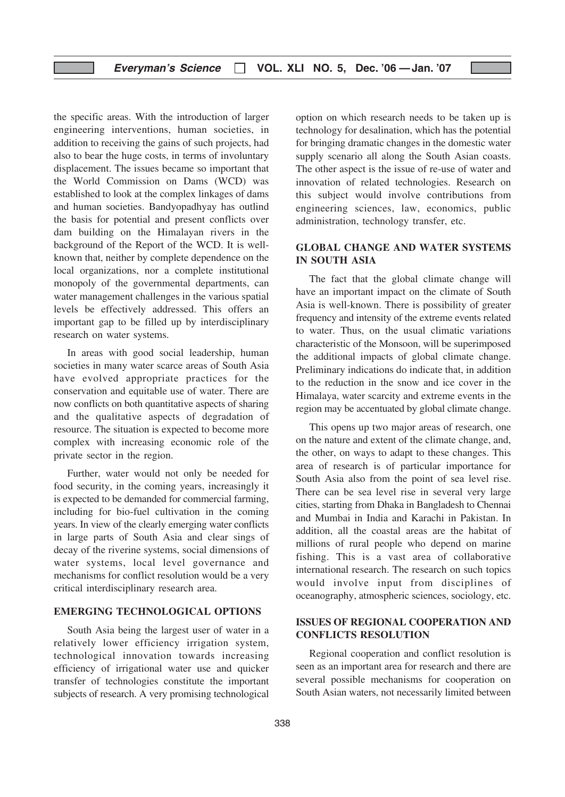the specific areas. With the introduction of larger engineering interventions, human societies, in addition to receiving the gains of such projects, had also to bear the huge costs, in terms of involuntary displacement. The issues became so important that the World Commission on Dams (WCD) was established to look at the complex linkages of dams and human societies. Bandyopadhyay has outlind the basis for potential and present conflicts over dam building on the Himalayan rivers in the background of the Report of the WCD. It is wellknown that, neither by complete dependence on the local organizations, nor a complete institutional monopoly of the governmental departments, can water management challenges in the various spatial levels be effectively addressed. This offers an important gap to be filled up by interdisciplinary research on water systems.

In areas with good social leadership, human societies in many water scarce areas of South Asia have evolved appropriate practices for the conservation and equitable use of water. There are now conflicts on both quantitative aspects of sharing and the qualitative aspects of degradation of resource. The situation is expected to become more complex with increasing economic role of the private sector in the region.

Further, water would not only be needed for food security, in the coming years, increasingly it is expected to be demanded for commercial farming, including for bio-fuel cultivation in the coming years. In view of the clearly emerging water conflicts in large parts of South Asia and clear sings of decay of the riverine systems, social dimensions of water systems, local level governance and mechanisms for conflict resolution would be a very critical interdisciplinary research area.

## EMERGING TECHNOLOGICAL OPTIONS

South Asia being the largest user of water in a relatively lower efficiency irrigation system, technological innovation towards increasing efficiency of irrigational water use and quicker transfer of technologies constitute the important subjects of research. A very promising technological option on which research needs to be taken up is technology for desalination, which has the potential for bringing dramatic changes in the domestic water supply scenario all along the South Asian coasts. The other aspect is the issue of re-use of water and innovation of related technologies. Research on this subject would involve contributions from engineering sciences, law, economics, public administration, technology transfer, etc.

## GLOBAL CHANGE AND WATER SYSTEMS IN SOUTH ASIA

The fact that the global climate change will have an important impact on the climate of South Asia is well-known. There is possibility of greater frequency and intensity of the extreme events related to water. Thus, on the usual climatic variations characteristic of the Monsoon, will be superimposed the additional impacts of global climate change. Preliminary indications do indicate that, in addition to the reduction in the snow and ice cover in the Himalaya, water scarcity and extreme events in the region may be accentuated by global climate change.

This opens up two major areas of research, one on the nature and extent of the climate change, and, the other, on ways to adapt to these changes. This area of research is of particular importance for South Asia also from the point of sea level rise. There can be sea level rise in several very large cities, starting from Dhaka in Bangladesh to Chennai and Mumbai in India and Karachi in Pakistan. In addition, all the coastal areas are the habitat of millions of rural people who depend on marine fishing. This is a vast area of collaborative international research. The research on such topics would involve input from disciplines of oceanography, atmospheric sciences, sociology, etc.

## ISSUES OF REGIONAL COOPERATION AND CONFLICTS RESOLUTION

Regional cooperation and conflict resolution is seen as an important area for research and there are several possible mechanisms for cooperation on South Asian waters, not necessarily limited between